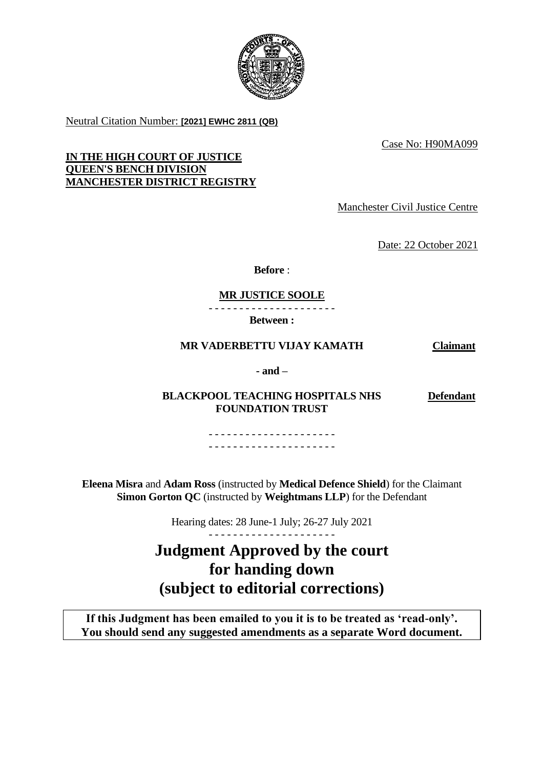

Neutral Citation Number: **[2021] EWHC 2811 (QB)**

Case No: H90MA099

**IN THE HIGH COURT OF JUSTICE QUEEN'S BENCH DIVISION MANCHESTER DISTRICT REGISTRY**

Manchester Civil Justice Centre

Date: 22 October 2021

**Before** :

# **MR JUSTICE SOOLE**

- - - - - - - - - - - - - - - - - - - - - **Between :**

# **MR VADERBETTU VIJAY KAMATH Claimant**

**Defendant**

**- and –**

**BLACKPOOL TEACHING HOSPITALS NHS FOUNDATION TRUST**

> - - - - - - - - - - - - - - - - - - - - - - - - - - - - - - - - - - - - - - - - - -

**Eleena Misra** and **Adam Ross** (instructed by **Medical Defence Shield**) for the Claimant **Simon Gorton QC** (instructed by **Weightmans LLP**) for the Defendant

Hearing dates: 28 June-1 July; 26-27 July 2021

# **Judgment Approved by the court for handing down (subject to editorial corrections)**

**If this Judgment has been emailed to you it is to be treated as 'read-only'. You should send any suggested amendments as a separate Word document.**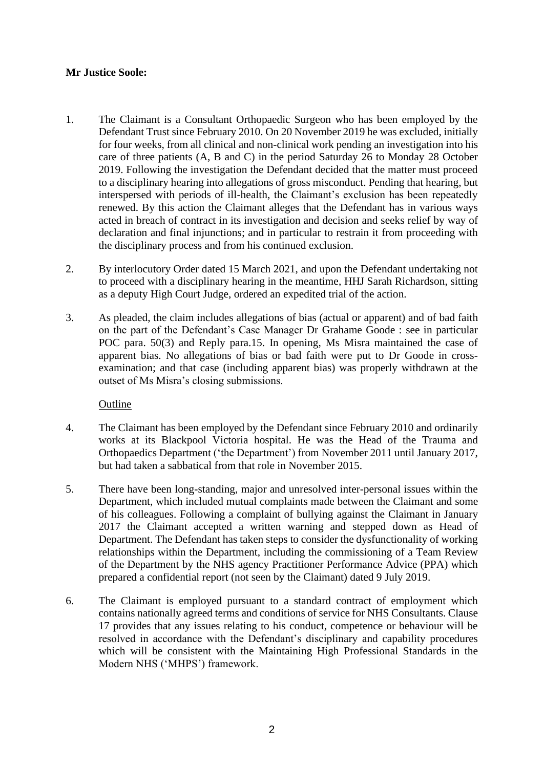# **Mr Justice Soole:**

- 1. The Claimant is a Consultant Orthopaedic Surgeon who has been employed by the Defendant Trust since February 2010. On 20 November 2019 he was excluded, initially for four weeks, from all clinical and non-clinical work pending an investigation into his care of three patients (A, B and C) in the period Saturday 26 to Monday 28 October 2019. Following the investigation the Defendant decided that the matter must proceed to a disciplinary hearing into allegations of gross misconduct. Pending that hearing, but interspersed with periods of ill-health, the Claimant's exclusion has been repeatedly renewed. By this action the Claimant alleges that the Defendant has in various ways acted in breach of contract in its investigation and decision and seeks relief by way of declaration and final injunctions; and in particular to restrain it from proceeding with the disciplinary process and from his continued exclusion.
- 2. By interlocutory Order dated 15 March 2021, and upon the Defendant undertaking not to proceed with a disciplinary hearing in the meantime, HHJ Sarah Richardson, sitting as a deputy High Court Judge, ordered an expedited trial of the action.
- 3. As pleaded, the claim includes allegations of bias (actual or apparent) and of bad faith on the part of the Defendant's Case Manager Dr Grahame Goode : see in particular POC para. 50(3) and Reply para.15. In opening, Ms Misra maintained the case of apparent bias. No allegations of bias or bad faith were put to Dr Goode in crossexamination; and that case (including apparent bias) was properly withdrawn at the outset of Ms Misra's closing submissions.

#### Outline

- 4. The Claimant has been employed by the Defendant since February 2010 and ordinarily works at its Blackpool Victoria hospital. He was the Head of the Trauma and Orthopaedics Department ('the Department') from November 2011 until January 2017, but had taken a sabbatical from that role in November 2015.
- 5. There have been long-standing, major and unresolved inter-personal issues within the Department, which included mutual complaints made between the Claimant and some of his colleagues. Following a complaint of bullying against the Claimant in January 2017 the Claimant accepted a written warning and stepped down as Head of Department. The Defendant has taken steps to consider the dysfunctionality of working relationships within the Department, including the commissioning of a Team Review of the Department by the NHS agency Practitioner Performance Advice (PPA) which prepared a confidential report (not seen by the Claimant) dated 9 July 2019.
- 6. The Claimant is employed pursuant to a standard contract of employment which contains nationally agreed terms and conditions of service for NHS Consultants. Clause 17 provides that any issues relating to his conduct, competence or behaviour will be resolved in accordance with the Defendant's disciplinary and capability procedures which will be consistent with the Maintaining High Professional Standards in the Modern NHS ('MHPS') framework.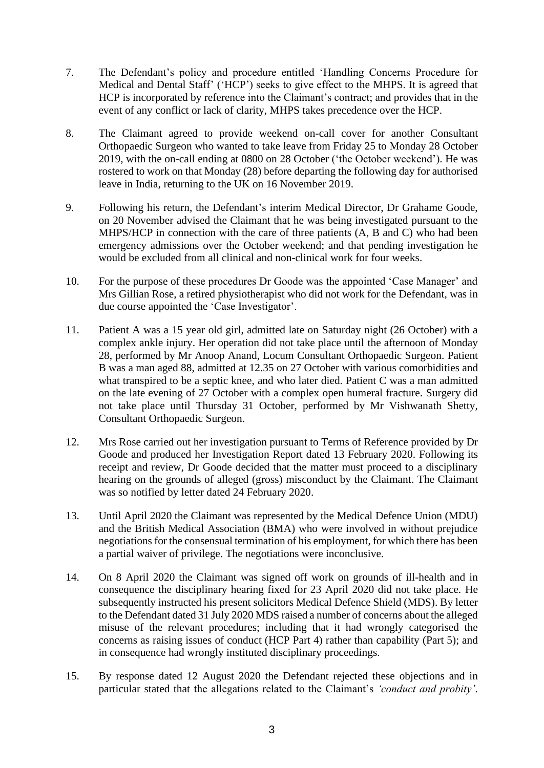- 7. The Defendant's policy and procedure entitled 'Handling Concerns Procedure for Medical and Dental Staff' ('HCP') seeks to give effect to the MHPS. It is agreed that HCP is incorporated by reference into the Claimant's contract; and provides that in the event of any conflict or lack of clarity, MHPS takes precedence over the HCP.
- 8. The Claimant agreed to provide weekend on-call cover for another Consultant Orthopaedic Surgeon who wanted to take leave from Friday 25 to Monday 28 October 2019, with the on-call ending at 0800 on 28 October ('the October weekend'). He was rostered to work on that Monday (28) before departing the following day for authorised leave in India, returning to the UK on 16 November 2019.
- 9. Following his return, the Defendant's interim Medical Director, Dr Grahame Goode, on 20 November advised the Claimant that he was being investigated pursuant to the MHPS/HCP in connection with the care of three patients (A, B and C) who had been emergency admissions over the October weekend; and that pending investigation he would be excluded from all clinical and non-clinical work for four weeks.
- 10. For the purpose of these procedures Dr Goode was the appointed 'Case Manager' and Mrs Gillian Rose, a retired physiotherapist who did not work for the Defendant, was in due course appointed the 'Case Investigator'.
- 11. Patient A was a 15 year old girl, admitted late on Saturday night (26 October) with a complex ankle injury. Her operation did not take place until the afternoon of Monday 28, performed by Mr Anoop Anand, Locum Consultant Orthopaedic Surgeon. Patient B was a man aged 88, admitted at 12.35 on 27 October with various comorbidities and what transpired to be a septic knee, and who later died. Patient C was a man admitted on the late evening of 27 October with a complex open humeral fracture. Surgery did not take place until Thursday 31 October, performed by Mr Vishwanath Shetty, Consultant Orthopaedic Surgeon.
- 12. Mrs Rose carried out her investigation pursuant to Terms of Reference provided by Dr Goode and produced her Investigation Report dated 13 February 2020. Following its receipt and review, Dr Goode decided that the matter must proceed to a disciplinary hearing on the grounds of alleged (gross) misconduct by the Claimant. The Claimant was so notified by letter dated 24 February 2020.
- 13. Until April 2020 the Claimant was represented by the Medical Defence Union (MDU) and the British Medical Association (BMA) who were involved in without prejudice negotiations for the consensual termination of his employment, for which there has been a partial waiver of privilege. The negotiations were inconclusive.
- 14. On 8 April 2020 the Claimant was signed off work on grounds of ill-health and in consequence the disciplinary hearing fixed for 23 April 2020 did not take place. He subsequently instructed his present solicitors Medical Defence Shield (MDS). By letter to the Defendant dated 31 July 2020 MDS raised a number of concerns about the alleged misuse of the relevant procedures; including that it had wrongly categorised the concerns as raising issues of conduct (HCP Part 4) rather than capability (Part 5); and in consequence had wrongly instituted disciplinary proceedings.
- 15. By response dated 12 August 2020 the Defendant rejected these objections and in particular stated that the allegations related to the Claimant's *'conduct and probity'*.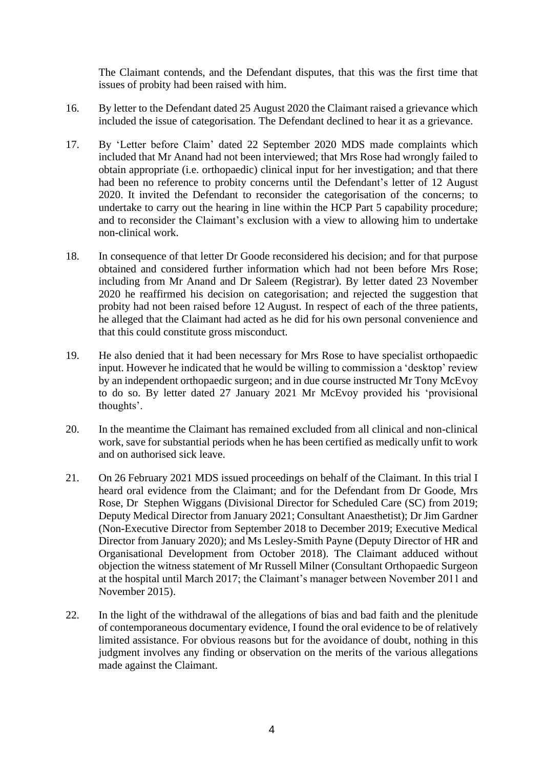The Claimant contends, and the Defendant disputes, that this was the first time that issues of probity had been raised with him.

- 16. By letter to the Defendant dated 25 August 2020 the Claimant raised a grievance which included the issue of categorisation. The Defendant declined to hear it as a grievance.
- 17. By 'Letter before Claim' dated 22 September 2020 MDS made complaints which included that Mr Anand had not been interviewed; that Mrs Rose had wrongly failed to obtain appropriate (i.e. orthopaedic) clinical input for her investigation; and that there had been no reference to probity concerns until the Defendant's letter of 12 August 2020. It invited the Defendant to reconsider the categorisation of the concerns; to undertake to carry out the hearing in line within the HCP Part 5 capability procedure; and to reconsider the Claimant's exclusion with a view to allowing him to undertake non-clinical work.
- 18. In consequence of that letter Dr Goode reconsidered his decision; and for that purpose obtained and considered further information which had not been before Mrs Rose; including from Mr Anand and Dr Saleem (Registrar). By letter dated 23 November 2020 he reaffirmed his decision on categorisation; and rejected the suggestion that probity had not been raised before 12 August. In respect of each of the three patients, he alleged that the Claimant had acted as he did for his own personal convenience and that this could constitute gross misconduct.
- 19. He also denied that it had been necessary for Mrs Rose to have specialist orthopaedic input. However he indicated that he would be willing to commission a 'desktop' review by an independent orthopaedic surgeon; and in due course instructed Mr Tony McEvoy to do so. By letter dated 27 January 2021 Mr McEvoy provided his 'provisional thoughts'.
- 20. In the meantime the Claimant has remained excluded from all clinical and non-clinical work, save for substantial periods when he has been certified as medically unfit to work and on authorised sick leave.
- 21. On 26 February 2021 MDS issued proceedings on behalf of the Claimant. In this trial I heard oral evidence from the Claimant; and for the Defendant from Dr Goode, Mrs Rose, Dr Stephen Wiggans (Divisional Director for Scheduled Care (SC) from 2019; Deputy Medical Director from January 2021; Consultant Anaesthetist); Dr Jim Gardner (Non-Executive Director from September 2018 to December 2019; Executive Medical Director from January 2020); and Ms Lesley-Smith Payne (Deputy Director of HR and Organisational Development from October 2018). The Claimant adduced without objection the witness statement of Mr Russell Milner (Consultant Orthopaedic Surgeon at the hospital until March 2017; the Claimant's manager between November 2011 and November 2015).
- 22. In the light of the withdrawal of the allegations of bias and bad faith and the plenitude of contemporaneous documentary evidence, I found the oral evidence to be of relatively limited assistance. For obvious reasons but for the avoidance of doubt, nothing in this judgment involves any finding or observation on the merits of the various allegations made against the Claimant.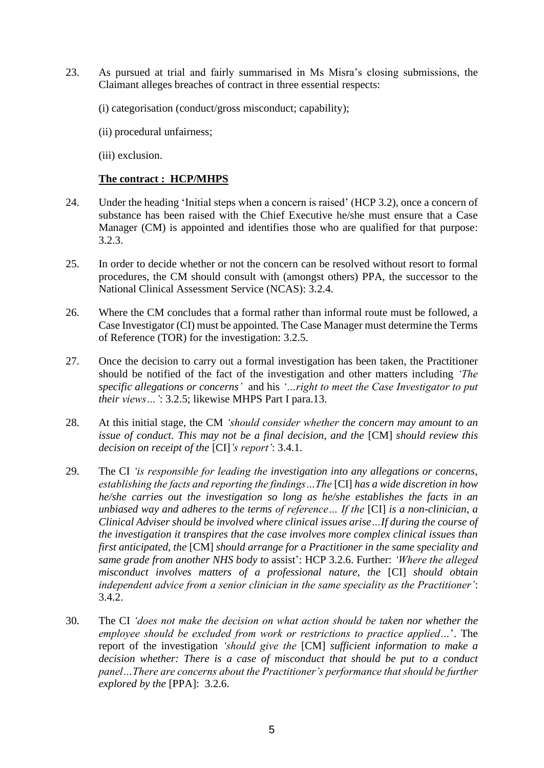- 23. As pursued at trial and fairly summarised in Ms Misra's closing submissions, the Claimant alleges breaches of contract in three essential respects:
	- (i) categorisation (conduct/gross misconduct; capability);
	- (ii) procedural unfairness;
	- (iii) exclusion.

## **The contract : HCP/MHPS**

- 24. Under the heading 'Initial steps when a concern is raised' (HCP 3.2), once a concern of substance has been raised with the Chief Executive he/she must ensure that a Case Manager (CM) is appointed and identifies those who are qualified for that purpose: 3.2.3.
- 25. In order to decide whether or not the concern can be resolved without resort to formal procedures, the CM should consult with (amongst others) PPA, the successor to the National Clinical Assessment Service (NCAS): 3.2.4.
- 26. Where the CM concludes that a formal rather than informal route must be followed, a Case Investigator (CI) must be appointed. The Case Manager must determine the Terms of Reference (TOR) for the investigation: 3.2.5.
- 27. Once the decision to carry out a formal investigation has been taken, the Practitioner should be notified of the fact of the investigation and other matters including *'The specific allegations or concerns'* and his *'…right to meet the Case Investigator to put their views…'*: 3.2.5; likewise MHPS Part I para.13.
- 28. At this initial stage, the CM *'should consider whether the concern may amount to an issue of conduct. This may not be a final decision, and the* [CM] *should review this decision on receipt of the* [CI]*'s report'*: 3.4.1.
- 29. The CI *'is responsible for leading the investigation into any allegations or concerns, establishing the facts and reporting the findings…The* [CI] *has a wide discretion in how he/she carries out the investigation so long as he/she establishes the facts in an unbiased way and adheres to the terms of reference… If the* [CI] *is a non-clinician, a Clinical Adviser should be involved where clinical issues arise…If during the course of the investigation it transpires that the case involves more complex clinical issues than first anticipated, the* [CM] *should arrange for a Practitioner in the same speciality and same grade from another NHS body to* assist': HCP 3.2.6. Further: *'Where the alleged misconduct involves matters of a professional nature, the* [CI] *should obtain independent advice from a senior clinician in the same speciality as the Practitioner'*: 3.4.2.
- 30. The CI *'does not make the decision on what action should be taken nor whether the employee should be excluded from work or restrictions to practice applied…*'. The report of the investigation *'should give the* [CM] *sufficient information to make a decision whether: There is a case of misconduct that should be put to a conduct panel…There are concerns about the Practitioner's performance that should be further explored by the* [PPA]: 3.2.6.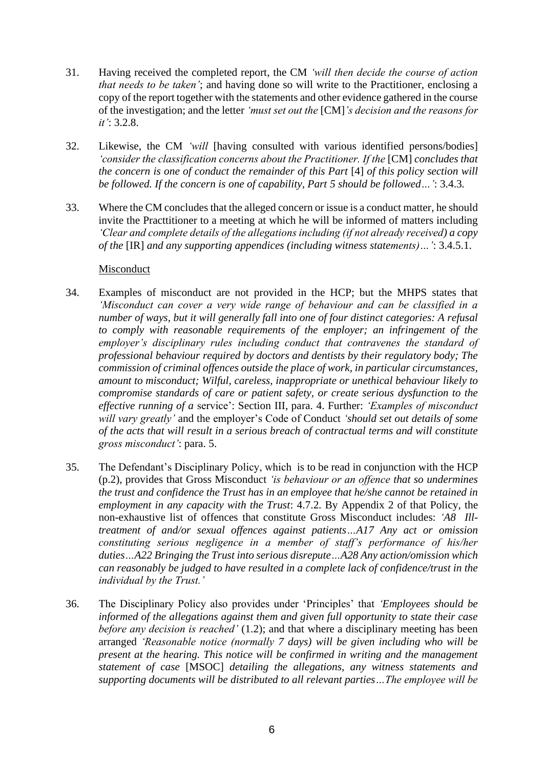- 31. Having received the completed report, the CM *'will then decide the course of action that needs to be taken'*; and having done so will write to the Practitioner, enclosing a copy of the report together with the statements and other evidence gathered in the course of the investigation; and the letter *'must set out the* [CM]*'s decision and the reasons for it'*: 3.2.8.
- 32. Likewise, the CM *'will* [having consulted with various identified persons/bodies] *'consider the classification concerns about the Practitioner. If the* [CM] *concludes that the concern is one of conduct the remainder of this Part* [4] *of this policy section will be followed. If the concern is one of capability, Part 5 should be followed…'*: 3.4.3*.*
- 33. Where the CM concludes that the alleged concern or issue is a conduct matter, he should invite the Practtitioner to a meeting at which he will be informed of matters including *'Clear and complete details of the allegations including (if not already received) a copy of the* [IR] *and any supporting appendices (including witness statements)…'*: 3.4.5.1.

#### Misconduct

- 34. Examples of misconduct are not provided in the HCP; but the MHPS states that *'Misconduct can cover a very wide range of behaviour and can be classified in a number of ways, but it will generally fall into one of four distinct categories: A refusal to comply with reasonable requirements of the employer; an infringement of the employer's disciplinary rules including conduct that contravenes the standard of professional behaviour required by doctors and dentists by their regulatory body; The commission of criminal offences outside the place of work, in particular circumstances, amount to misconduct; Wilful, careless, inappropriate or unethical behaviour likely to compromise standards of care or patient safety, or create serious dysfunction to the effective running of a* service': Section III, para. 4. Further: *'Examples of misconduct will vary greatly'* and the employer's Code of Conduct *'should set out details of some of the acts that will result in a serious breach of contractual terms and will constitute gross misconduct'*: para. 5.
- 35. The Defendant's Disciplinary Policy, which is to be read in conjunction with the HCP (p.2), provides that Gross Misconduct *'is behaviour or an offence that so undermines the trust and confidence the Trust has in an employee that he/she cannot be retained in employment in any capacity with the Trust*: 4.7.2. By Appendix 2 of that Policy, the non-exhaustive list of offences that constitute Gross Misconduct includes: *'A8 Illtreatment of and/or sexual offences against patients…A17 Any act or omission constituting serious negligence in a member of staff's performance of his/her duties…A22 Bringing the Trust into serious disrepute…A28 Any action/omission which can reasonably be judged to have resulted in a complete lack of confidence/trust in the individual by the Trust.'*
- 36. The Disciplinary Policy also provides under 'Principles' that *'Employees should be informed of the allegations against them and given full opportunity to state their case before any decision is reached'* (1.2); and that where a disciplinary meeting has been arranged *'Reasonable notice (normally 7 days) will be given including who will be present at the hearing. This notice will be confirmed in writing and the management statement of case* [MSOC] *detailing the allegations, any witness statements and supporting documents will be distributed to all relevant parties…The employee will be*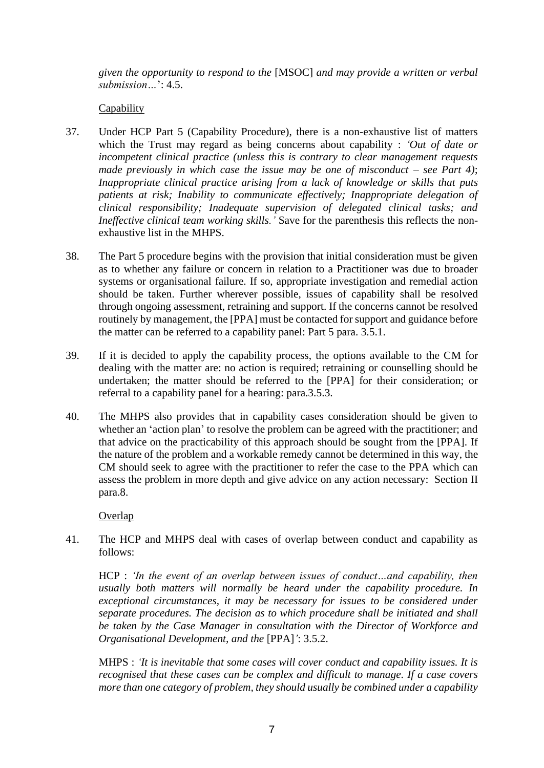*given the opportunity to respond to the* [MSOC] *and may provide a written or verbal submission…*': 4.5.

# Capability

- 37. Under HCP Part 5 (Capability Procedure), there is a non-exhaustive list of matters which the Trust may regard as being concerns about capability : *'Out of date or incompetent clinical practice (unless this is contrary to clear management requests made previously in which case the issue may be one of misconduct – see Part 4)*; *Inappropriate clinical practice arising from a lack of knowledge or skills that puts patients at risk; Inability to communicate effectively; Inappropriate delegation of clinical responsibility; Inadequate supervision of delegated clinical tasks; and Ineffective clinical team working skills.'* Save for the parenthesis this reflects the nonexhaustive list in the MHPS.
- 38. The Part 5 procedure begins with the provision that initial consideration must be given as to whether any failure or concern in relation to a Practitioner was due to broader systems or organisational failure. If so, appropriate investigation and remedial action should be taken. Further wherever possible, issues of capability shall be resolved through ongoing assessment, retraining and support. If the concerns cannot be resolved routinely by management, the [PPA] must be contacted for support and guidance before the matter can be referred to a capability panel: Part 5 para. 3.5.1.
- 39. If it is decided to apply the capability process, the options available to the CM for dealing with the matter are: no action is required; retraining or counselling should be undertaken; the matter should be referred to the [PPA] for their consideration; or referral to a capability panel for a hearing: para.3.5.3.
- 40. The MHPS also provides that in capability cases consideration should be given to whether an 'action plan' to resolve the problem can be agreed with the practitioner; and that advice on the practicability of this approach should be sought from the [PPA]. If the nature of the problem and a workable remedy cannot be determined in this way, the CM should seek to agree with the practitioner to refer the case to the PPA which can assess the problem in more depth and give advice on any action necessary: Section II para.8.

**Overlap** 

41. The HCP and MHPS deal with cases of overlap between conduct and capability as follows:

HCP : *'In the event of an overlap between issues of conduct…and capability, then usually both matters will normally be heard under the capability procedure. In exceptional circumstances, it may be necessary for issues to be considered under separate procedures. The decision as to which procedure shall be initiated and shall be taken by the Case Manager in consultation with the Director of Workforce and Organisational Development, and the* [PPA]*'*: 3.5.2.

MHPS : *'It is inevitable that some cases will cover conduct and capability issues. It is recognised that these cases can be complex and difficult to manage. If a case covers more than one category of problem, they should usually be combined under a capability*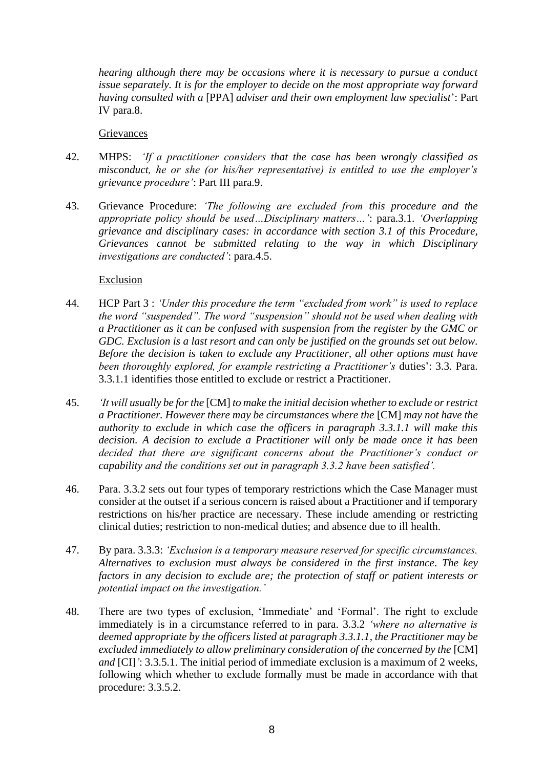*hearing although there may be occasions where it is necessary to pursue a conduct issue separately. It is for the employer to decide on the most appropriate way forward having consulted with a* [PPA] *adviser and their own employment law specialist*': Part IV para.8.

**Grievances** 

- 42. MHPS: *'If a practitioner considers that the case has been wrongly classified as misconduct, he or she (or his/her representative) is entitled to use the employer's grievance procedure'*: Part III para.9.
- 43. Grievance Procedure: *'The following are excluded from this procedure and the appropriate policy should be used…Disciplinary matters…'*: para.3.1. *'Overlapping grievance and disciplinary cases: in accordance with section 3.1 of this Procedure, Grievances cannot be submitted relating to the way in which Disciplinary investigations are conducted'*: para.4.5.

#### Exclusion

- 44. HCP Part 3 : *'Under this procedure the term "excluded from work" is used to replace the word "suspended". The word "suspension" should not be used when dealing with a Practitioner as it can be confused with suspension from the register by the GMC or GDC. Exclusion is a last resort and can only be justified on the grounds set out below. Before the decision is taken to exclude any Practitioner, all other options must have been thoroughly explored, for example restricting a Practitioner's* duties': 3.3. Para. 3.3.1.1 identifies those entitled to exclude or restrict a Practitioner.
- 45. *'It will usually be for the* [CM] *to make the initial decision whether to exclude or restrict a Practitioner. However there may be circumstances where the* [CM] *may not have the authority to exclude in which case the officers in paragraph 3.3.1.1 will make this decision. A decision to exclude a Practitioner will only be made once it has been decided that there are significant concerns about the Practitioner's conduct or capability and the conditions set out in paragraph 3.3.2 have been satisfied'.*
- 46. Para. 3.3.2 sets out four types of temporary restrictions which the Case Manager must consider at the outset if a serious concern is raised about a Practitioner and if temporary restrictions on his/her practice are necessary. These include amending or restricting clinical duties; restriction to non-medical duties; and absence due to ill health.
- 47. By para. 3.3.3: *'Exclusion is a temporary measure reserved for specific circumstances. Alternatives to exclusion must always be considered in the first instance. The key factors in any decision to exclude are; the protection of staff or patient interests or potential impact on the investigation.'*
- 48. There are two types of exclusion, 'Immediate' and 'Formal'. The right to exclude immediately is in a circumstance referred to in para. 3.3.2 *'where no alternative is deemed appropriate by the officers listed at paragraph 3.3.1.1, the Practitioner may be excluded immediately to allow preliminary consideration of the concerned by the* [CM] *and* [CI]*'*: 3.3.5.1. The initial period of immediate exclusion is a maximum of 2 weeks, following which whether to exclude formally must be made in accordance with that procedure: 3.3.5.2.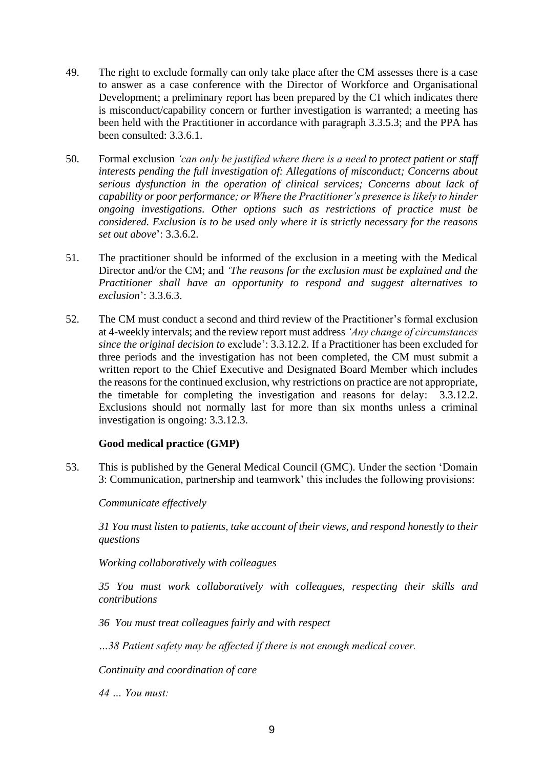- 49. The right to exclude formally can only take place after the CM assesses there is a case to answer as a case conference with the Director of Workforce and Organisational Development; a preliminary report has been prepared by the CI which indicates there is misconduct/capability concern or further investigation is warranted; a meeting has been held with the Practitioner in accordance with paragraph 3.3.5.3; and the PPA has been consulted: 3.3.6.1.
- 50. Formal exclusion *'can only be justified where there is a need to protect patient or staff interests pending the full investigation of: Allegations of misconduct; Concerns about serious dysfunction in the operation of clinical services; Concerns about lack of capability or poor performance; or Where the Practitioner's presence is likely to hinder ongoing investigations. Other options such as restrictions of practice must be considered. Exclusion is to be used only where it is strictly necessary for the reasons set out above*': 3.3.6.2.
- 51. The practitioner should be informed of the exclusion in a meeting with the Medical Director and/or the CM; and *'The reasons for the exclusion must be explained and the Practitioner shall have an opportunity to respond and suggest alternatives to exclusion*': 3.3.6.3.
- 52. The CM must conduct a second and third review of the Practitioner's formal exclusion at 4-weekly intervals; and the review report must address *'Any change of circumstances since the original decision to* exclude': 3.3.12.2. If a Practitioner has been excluded for three periods and the investigation has not been completed, the CM must submit a written report to the Chief Executive and Designated Board Member which includes the reasons for the continued exclusion, why restrictions on practice are not appropriate, the timetable for completing the investigation and reasons for delay: 3.3.12.2. Exclusions should not normally last for more than six months unless a criminal investigation is ongoing: 3.3.12.3.

#### **Good medical practice (GMP)**

53. This is published by the General Medical Council (GMC). Under the section 'Domain 3: Communication, partnership and teamwork' this includes the following provisions:

*Communicate effectively* 

*31 You must listen to patients, take account of their views, and respond honestly to their questions*

*Working collaboratively with colleagues*

*35 You must work collaboratively with colleagues, respecting their skills and contributions*

*36 You must treat colleagues fairly and with respect*

*…38 Patient safety may be affected if there is not enough medical cover.*

*Continuity and coordination of care*

*44 … You must:*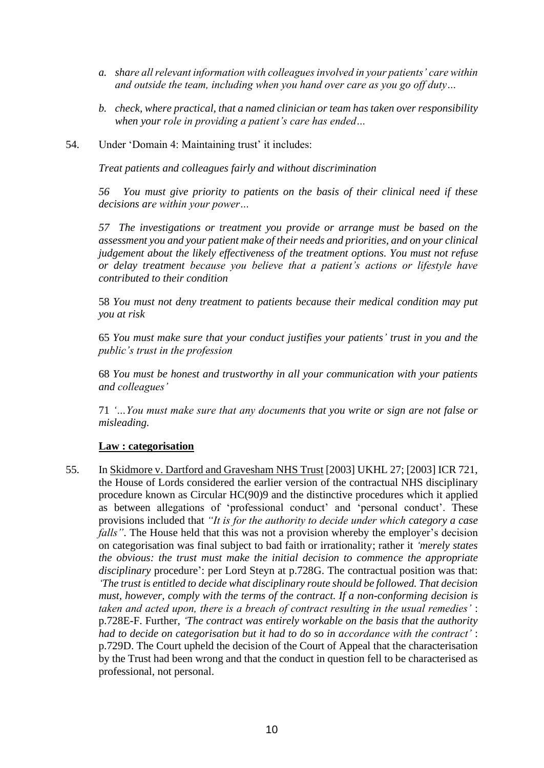- *a. share all relevant information with colleagues involved in your patients' care within and outside the team, including when you hand over care as you go off duty…*
- *b. check, where practical, that a named clinician or team has taken over responsibility when your role in providing a patient's care has ended…*
- 54. Under 'Domain 4: Maintaining trust' it includes:

*Treat patients and colleagues fairly and without discrimination*

*56 You must give priority to patients on the basis of their clinical need if these decisions are within your power…* 

*57 The investigations or treatment you provide or arrange must be based on the assessment you and your patient make of their needs and priorities, and on your clinical judgement about the likely effectiveness of the treatment options. You must not refuse or delay treatment because you believe that a patient's actions or lifestyle have contributed to their condition*

58 *You must not deny treatment to patients because their medical condition may put you at risk*

65 *You must make sure that your conduct justifies your patients' trust in you and the public's trust in the profession*

68 *You must be honest and trustworthy in all your communication with your patients and colleagues'*

71 *'…You must make sure that any documents that you write or sign are not false or misleading.*

# **Law : categorisation**

55. In Skidmore v. Dartford and Gravesham NHS Trust [2003] UKHL 27; [2003] ICR 721, the House of Lords considered the earlier version of the contractual NHS disciplinary procedure known as Circular HC(90)9 and the distinctive procedures which it applied as between allegations of 'professional conduct' and 'personal conduct'. These provisions included that *"It is for the authority to decide under which category a case falls*". The House held that this was not a provision whereby the employer's decision on categorisation was final subject to bad faith or irrationality; rather it *'merely states the obvious: the trust must make the initial decision to commence the appropriate disciplinary* procedure': per Lord Steyn at p.728G. The contractual position was that: *'The trust is entitled to decide what disciplinary route should be followed. That decision must, however, comply with the terms of the contract. If a non-conforming decision is taken and acted upon, there is a breach of contract resulting in the usual remedies'* : p.728E-F. Further, *'The contract was entirely workable on the basis that the authority had to decide on categorisation but it had to do so in accordance with the contract'* : p.729D. The Court upheld the decision of the Court of Appeal that the characterisation by the Trust had been wrong and that the conduct in question fell to be characterised as professional, not personal.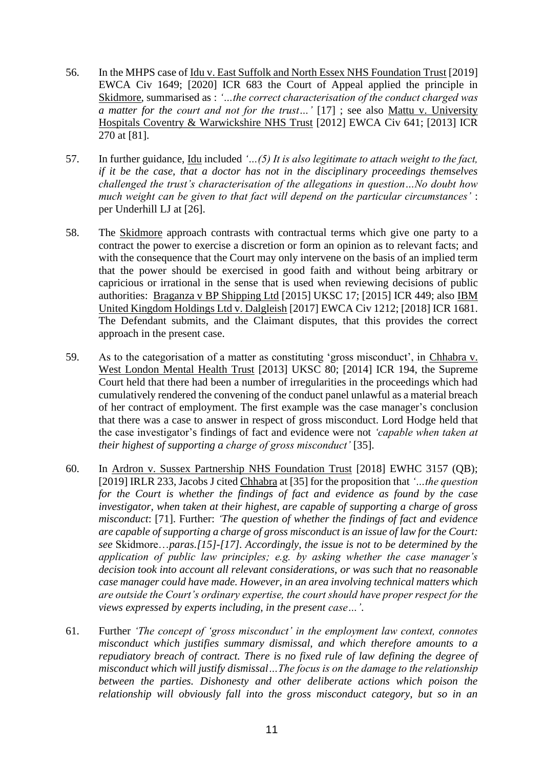- 56. In the MHPS case of Idu v. East Suffolk and North Essex NHS Foundation Trust [2019] EWCA Civ 1649; [2020] ICR 683 the Court of Appeal applied the principle in Skidmore, summarised as : *'…the correct characterisation of the conduct charged was a matter for the court and not for the trust…'* [17] ; see also Mattu v. University Hospitals Coventry & Warwickshire NHS Trust [2012] EWCA Civ 641; [2013] ICR 270 at [81].
- 57. In further guidance, Idu included *'…(5) It is also legitimate to attach weight to the fact, if it be the case, that a doctor has not in the disciplinary proceedings themselves challenged the trust's characterisation of the allegations in question…No doubt how much weight can be given to that fact will depend on the particular circumstances'* : per Underhill LJ at [26].
- 58. The Skidmore approach contrasts with contractual terms which give one party to a contract the power to exercise a discretion or form an opinion as to relevant facts; and with the consequence that the Court may only intervene on the basis of an implied term that the power should be exercised in good faith and without being arbitrary or capricious or irrational in the sense that is used when reviewing decisions of public authorities: Braganza v BP Shipping Ltd [2015] UKSC 17; [2015] ICR 449; also IBM United Kingdom Holdings Ltd v. Dalgleish [2017] EWCA Civ 1212; [2018] ICR 1681. The Defendant submits, and the Claimant disputes, that this provides the correct approach in the present case.
- 59. As to the categorisation of a matter as constituting 'gross misconduct', in Chhabra v. West London Mental Health Trust [2013] UKSC 80; [2014] ICR 194, the Supreme Court held that there had been a number of irregularities in the proceedings which had cumulatively rendered the convening of the conduct panel unlawful as a material breach of her contract of employment. The first example was the case manager's conclusion that there was a case to answer in respect of gross misconduct. Lord Hodge held that the case investigator's findings of fact and evidence were not *'capable when taken at their highest of supporting a charge of gross misconduct'* [35].
- 60. In Ardron v. Sussex Partnership NHS Foundation Trust [2018] EWHC 3157 (QB); [2019] IRLR 233, Jacobs J cited Chhabra at [35] for the proposition that *'…the question for the Court is whether the findings of fact and evidence as found by the case investigator, when taken at their highest, are capable of supporting a charge of gross misconduct*: [71]. Further: *'The question of whether the findings of fact and evidence are capable of supporting a charge of gross misconduct is an issue of law for the Court: see* Skidmore…*paras.[15]-[17]. Accordingly, the issue is not to be determined by the application of public law principles; e.g. by asking whether the case manager's decision took into account all relevant considerations, or was such that no reasonable case manager could have made. However, in an area involving technical matters which are outside the Court's ordinary expertise, the court should have proper respect for the views expressed by experts including, in the present case…'*.
- 61. Further *'The concept of 'gross misconduct' in the employment law context, connotes misconduct which justifies summary dismissal, and which therefore amounts to a repudiatory breach of contract. There is no fixed rule of law defining the degree of misconduct which will justify dismissal…The focus is on the damage to the relationship between the parties. Dishonesty and other deliberate actions which poison the relationship will obviously fall into the gross misconduct category, but so in an*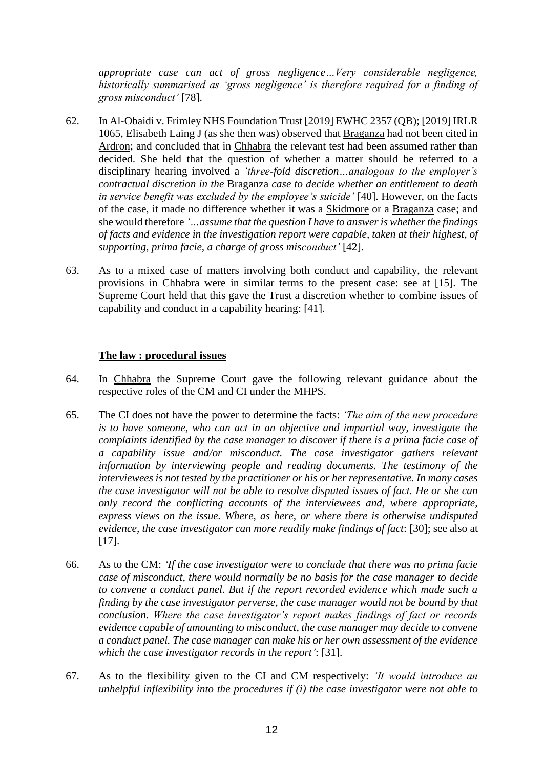*appropriate case can act of gross negligence…Very considerable negligence, historically summarised as 'gross negligence' is therefore required for a finding of gross misconduct'* [78].

- 62. In Al-Obaidi v. Frimley NHS Foundation Trust [2019] EWHC 2357 (QB); [2019] IRLR 1065, Elisabeth Laing J (as she then was) observed that Braganza had not been cited in Ardron; and concluded that in Chhabra the relevant test had been assumed rather than decided. She held that the question of whether a matter should be referred to a disciplinary hearing involved a *'three-fold discretion…analogous to the employer's contractual discretion in the* Braganza *case to decide whether an entitlement to death in service benefit was excluded by the employee's suicide'* [40]. However, on the facts of the case, it made no difference whether it was a Skidmore or a Braganza case; and she would therefore *'…assume that the question I have to answer is whether the findings of facts and evidence in the investigation report were capable, taken at their highest, of supporting, prima facie, a charge of gross misconduct'* [42].
- 63. As to a mixed case of matters involving both conduct and capability, the relevant provisions in Chhabra were in similar terms to the present case: see at [15]. The Supreme Court held that this gave the Trust a discretion whether to combine issues of capability and conduct in a capability hearing: [41].

#### **The law : procedural issues**

- 64. In Chhabra the Supreme Court gave the following relevant guidance about the respective roles of the CM and CI under the MHPS.
- 65. The CI does not have the power to determine the facts: *'The aim of the new procedure is to have someone, who can act in an objective and impartial way, investigate the complaints identified by the case manager to discover if there is a prima facie case of a capability issue and/or misconduct. The case investigator gathers relevant information by interviewing people and reading documents. The testimony of the interviewees is not tested by the practitioner or his or her representative. In many cases the case investigator will not be able to resolve disputed issues of fact. He or she can only record the conflicting accounts of the interviewees and, where appropriate, express views on the issue. Where, as here, or where there is otherwise undisputed evidence, the case investigator can more readily make findings of fact*: [30]; see also at [17].
- 66. As to the CM: *'If the case investigator were to conclude that there was no prima facie case of misconduct, there would normally be no basis for the case manager to decide to convene a conduct panel. But if the report recorded evidence which made such a finding by the case investigator perverse, the case manager would not be bound by that conclusion. Where the case investigator's report makes findings of fact or records evidence capable of amounting to misconduct, the case manager may decide to convene a conduct panel. The case manager can make his or her own assessment of the evidence which the case investigator records in the report'*: [31].
- 67. As to the flexibility given to the CI and CM respectively: *'It would introduce an unhelpful inflexibility into the procedures if (i) the case investigator were not able to*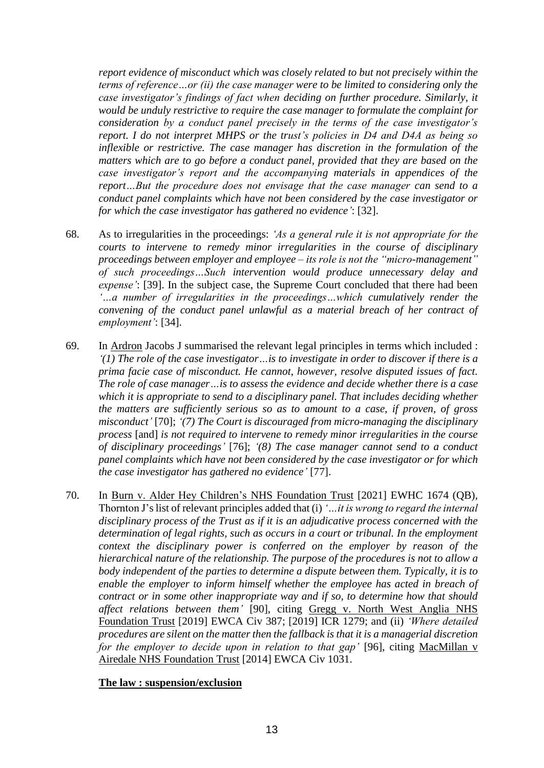*report evidence of misconduct which was closely related to but not precisely within the terms of reference…or (ii) the case manager were to be limited to considering only the case investigator's findings of fact when deciding on further procedure. Similarly, it would be unduly restrictive to require the case manager to formulate the complaint for consideration by a conduct panel precisely in the terms of the case investigator's report. I do not interpret MHPS or the trust's policies in D4 and D4A as being so inflexible or restrictive. The case manager has discretion in the formulation of the matters which are to go before a conduct panel, provided that they are based on the case investigator's report and the accompanying materials in appendices of the report…But the procedure does not envisage that the case manager can send to a conduct panel complaints which have not been considered by the case investigator or for which the case investigator has gathered no evidence'*: [32].

- 68. As to irregularities in the proceedings: *'As a general rule it is not appropriate for the courts to intervene to remedy minor irregularities in the course of disciplinary proceedings between employer and employee – its role is not the "micro-management" of such proceedings…Such intervention would produce unnecessary delay and expense'*: [39]. In the subject case, the Supreme Court concluded that there had been *'…a number of irregularities in the proceedings…which cumulatively render the convening of the conduct panel unlawful as a material breach of her contract of employment'*: [34].
- 69. In Ardron Jacobs J summarised the relevant legal principles in terms which included : *'(1) The role of the case investigator…is to investigate in order to discover if there is a prima facie case of misconduct. He cannot, however, resolve disputed issues of fact. The role of case manager…is to assess the evidence and decide whether there is a case which it is appropriate to send to a disciplinary panel. That includes deciding whether the matters are sufficiently serious so as to amount to a case, if proven, of gross misconduct'* [70]; *'(7) The Court is discouraged from micro-managing the disciplinary process* [and] *is not required to intervene to remedy minor irregularities in the course of disciplinary proceedings'* [76]; *'(8) The case manager cannot send to a conduct panel complaints which have not been considered by the case investigator or for which the case investigator has gathered no evidence'* [77].
- 70. In Burn v. Alder Hey Children's NHS Foundation Trust [2021] EWHC 1674 (QB), Thornton J'slist of relevant principles added that (i) *'…it is wrong to regard the internal disciplinary process of the Trust as if it is an adjudicative process concerned with the determination of legal rights, such as occurs in a court or tribunal. In the employment context the disciplinary power is conferred on the employer by reason of the hierarchical nature of the relationship. The purpose of the procedures is not to allow a body independent of the parties to determine a dispute between them. Typically, it is to enable the employer to inform himself whether the employee has acted in breach of contract or in some other inappropriate way and if so, to determine how that should affect relations between them'* [90], citing Gregg v. North West Anglia NHS Foundation Trust [2019] EWCA Civ 387; [2019] ICR 1279; and (ii) *'Where detailed procedures are silent on the matter then the fallback is that it is a managerial discretion for the employer to decide upon in relation to that gap'* [96], citing MacMillan v Airedale NHS Foundation Trust [2014] EWCA Civ 1031.

# **The law : suspension/exclusion**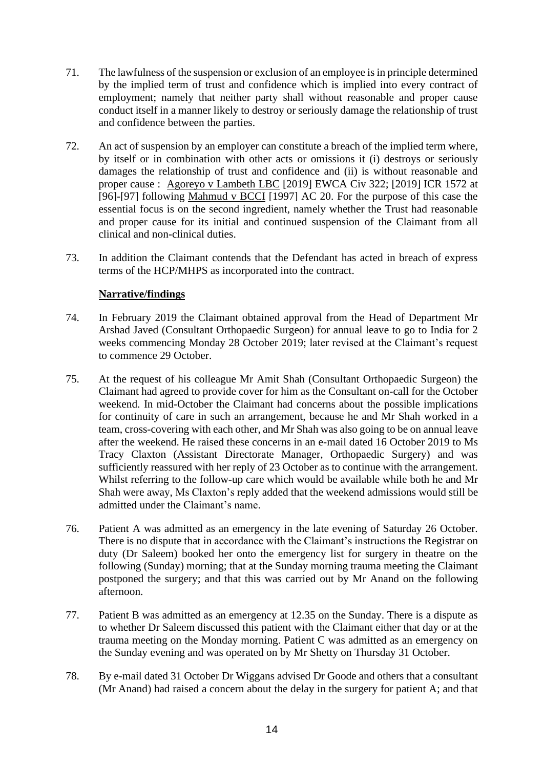- 71. The lawfulness of the suspension or exclusion of an employee is in principle determined by the implied term of trust and confidence which is implied into every contract of employment; namely that neither party shall without reasonable and proper cause conduct itself in a manner likely to destroy or seriously damage the relationship of trust and confidence between the parties.
- 72. An act of suspension by an employer can constitute a breach of the implied term where, by itself or in combination with other acts or omissions it (i) destroys or seriously damages the relationship of trust and confidence and (ii) is without reasonable and proper cause : Agoreyo v Lambeth LBC [2019] EWCA Civ 322; [2019] ICR 1572 at [96]-[97] following Mahmud v BCCI [1997] AC 20. For the purpose of this case the essential focus is on the second ingredient, namely whether the Trust had reasonable and proper cause for its initial and continued suspension of the Claimant from all clinical and non-clinical duties.
- 73. In addition the Claimant contends that the Defendant has acted in breach of express terms of the HCP/MHPS as incorporated into the contract.

# **Narrative/findings**

- 74. In February 2019 the Claimant obtained approval from the Head of Department Mr Arshad Javed (Consultant Orthopaedic Surgeon) for annual leave to go to India for 2 weeks commencing Monday 28 October 2019; later revised at the Claimant's request to commence 29 October.
- 75. At the request of his colleague Mr Amit Shah (Consultant Orthopaedic Surgeon) the Claimant had agreed to provide cover for him as the Consultant on-call for the October weekend. In mid-October the Claimant had concerns about the possible implications for continuity of care in such an arrangement, because he and Mr Shah worked in a team, cross-covering with each other, and Mr Shah was also going to be on annual leave after the weekend. He raised these concerns in an e-mail dated 16 October 2019 to Ms Tracy Claxton (Assistant Directorate Manager, Orthopaedic Surgery) and was sufficiently reassured with her reply of 23 October as to continue with the arrangement. Whilst referring to the follow-up care which would be available while both he and Mr Shah were away, Ms Claxton's reply added that the weekend admissions would still be admitted under the Claimant's name.
- 76. Patient A was admitted as an emergency in the late evening of Saturday 26 October. There is no dispute that in accordance with the Claimant's instructions the Registrar on duty (Dr Saleem) booked her onto the emergency list for surgery in theatre on the following (Sunday) morning; that at the Sunday morning trauma meeting the Claimant postponed the surgery; and that this was carried out by Mr Anand on the following afternoon.
- 77. Patient B was admitted as an emergency at 12.35 on the Sunday. There is a dispute as to whether Dr Saleem discussed this patient with the Claimant either that day or at the trauma meeting on the Monday morning. Patient C was admitted as an emergency on the Sunday evening and was operated on by Mr Shetty on Thursday 31 October.
- 78. By e-mail dated 31 October Dr Wiggans advised Dr Goode and others that a consultant (Mr Anand) had raised a concern about the delay in the surgery for patient A; and that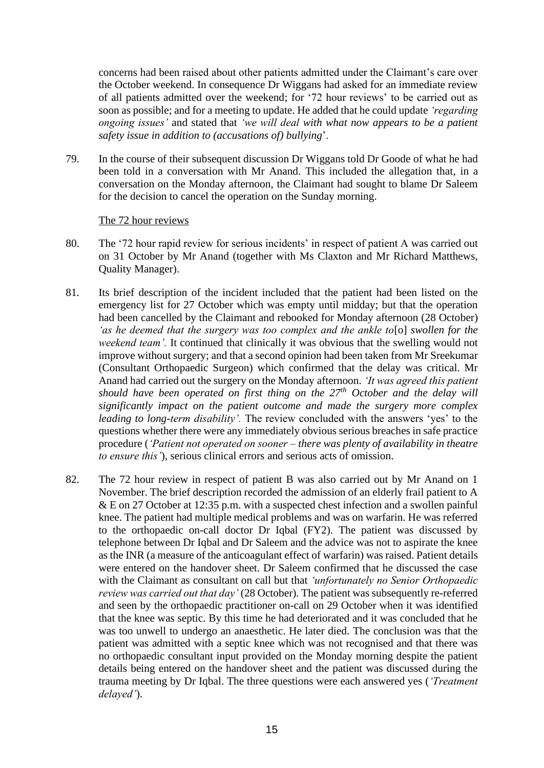concerns had been raised about other patients admitted under the Claimant's care over the October weekend. In consequence Dr Wiggans had asked for an immediate review of all patients admitted over the weekend; for '72 hour reviews' to be carried out as soon as possible; and for a meeting to update. He added that he could update *'regarding ongoing issues'* and stated that *'we will deal with what now appears to be a patient safety issue in addition to (accusations of) bullying*'.

79. In the course of their subsequent discussion Dr Wiggans told Dr Goode of what he had been told in a conversation with Mr Anand. This included the allegation that, in a conversation on the Monday afternoon, the Claimant had sought to blame Dr Saleem for the decision to cancel the operation on the Sunday morning.

#### The 72 hour reviews

- 80. The '72 hour rapid review for serious incidents' in respect of patient A was carried out on 31 October by Mr Anand (together with Ms Claxton and Mr Richard Matthews, Quality Manager).
- 81. Its brief description of the incident included that the patient had been listed on the emergency list for 27 October which was empty until midday; but that the operation had been cancelled by the Claimant and rebooked for Monday afternoon (28 October) *'as he deemed that the surgery was too complex and the ankle to*[o] *swollen for the weekend team'.* It continued that clinically it was obvious that the swelling would not improve without surgery; and that a second opinion had been taken from Mr Sreekumar (Consultant Orthopaedic Surgeon) which confirmed that the delay was critical. Mr Anand had carried out the surgery on the Monday afternoon. *'It was agreed this patient should have been operated on first thing on the 27th October and the delay will significantly impact on the patient outcome and made the surgery more complex leading to long-term disability'.* The review concluded with the answers 'yes' to the questions whether there were any immediately obvious serious breaches in safe practice procedure (*'Patient not operated on sooner – there was plenty of availability in theatre to ensure this'*), serious clinical errors and serious acts of omission.
- 82. The 72 hour review in respect of patient B was also carried out by Mr Anand on 1 November. The brief description recorded the admission of an elderly frail patient to A & E on 27 October at 12:35 p.m. with a suspected chest infection and a swollen painful knee. The patient had multiple medical problems and was on warfarin. He was referred to the orthopaedic on-call doctor Dr Iqbal (FY2). The patient was discussed by telephone between Dr Iqbal and Dr Saleem and the advice was not to aspirate the knee as the INR (a measure of the anticoagulant effect of warfarin) was raised. Patient details were entered on the handover sheet. Dr Saleem confirmed that he discussed the case with the Claimant as consultant on call but that *'unfortunately no Senior Orthopaedic review was carried out that day'* (28 October)*.* The patient was subsequently re-referred and seen by the orthopaedic practitioner on-call on 29 October when it was identified that the knee was septic. By this time he had deteriorated and it was concluded that he was too unwell to undergo an anaesthetic. He later died. The conclusion was that the patient was admitted with a septic knee which was not recognised and that there was no orthopaedic consultant input provided on the Monday morning despite the patient details being entered on the handover sheet and the patient was discussed during the trauma meeting by Dr Iqbal. The three questions were each answered yes (*'Treatment delayed'*).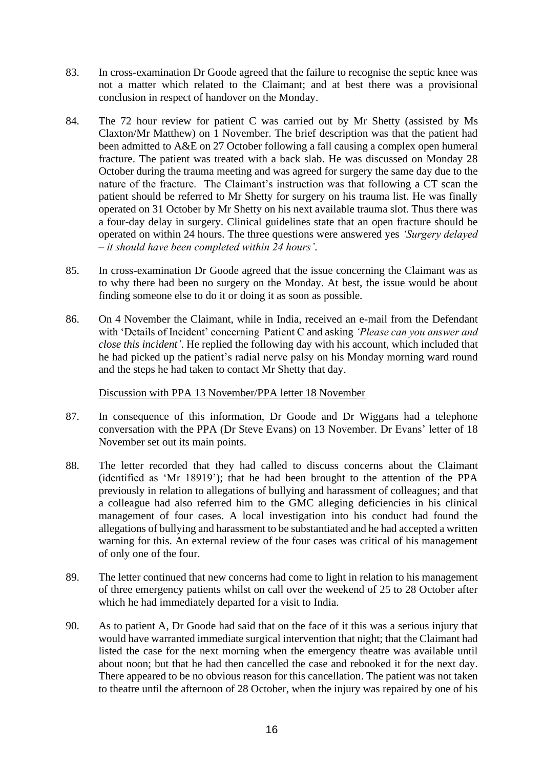- 83. In cross-examination Dr Goode agreed that the failure to recognise the septic knee was not a matter which related to the Claimant; and at best there was a provisional conclusion in respect of handover on the Monday.
- 84. The 72 hour review for patient C was carried out by Mr Shetty (assisted by Ms Claxton/Mr Matthew) on 1 November. The brief description was that the patient had been admitted to A&E on 27 October following a fall causing a complex open humeral fracture. The patient was treated with a back slab. He was discussed on Monday 28 October during the trauma meeting and was agreed for surgery the same day due to the nature of the fracture. The Claimant's instruction was that following a CT scan the patient should be referred to Mr Shetty for surgery on his trauma list. He was finally operated on 31 October by Mr Shetty on his next available trauma slot. Thus there was a four-day delay in surgery. Clinical guidelines state that an open fracture should be operated on within 24 hours. The three questions were answered yes *'Surgery delayed – it should have been completed within 24 hours'*.
- 85. In cross-examination Dr Goode agreed that the issue concerning the Claimant was as to why there had been no surgery on the Monday. At best, the issue would be about finding someone else to do it or doing it as soon as possible.
- 86. On 4 November the Claimant, while in India, received an e-mail from the Defendant with 'Details of Incident' concerning Patient C and asking *'Please can you answer and close this incident'*. He replied the following day with his account, which included that he had picked up the patient's radial nerve palsy on his Monday morning ward round and the steps he had taken to contact Mr Shetty that day.

#### Discussion with PPA 13 November/PPA letter 18 November

- 87. In consequence of this information, Dr Goode and Dr Wiggans had a telephone conversation with the PPA (Dr Steve Evans) on 13 November. Dr Evans' letter of 18 November set out its main points.
- 88. The letter recorded that they had called to discuss concerns about the Claimant (identified as 'Mr 18919'); that he had been brought to the attention of the PPA previously in relation to allegations of bullying and harassment of colleagues; and that a colleague had also referred him to the GMC alleging deficiencies in his clinical management of four cases. A local investigation into his conduct had found the allegations of bullying and harassment to be substantiated and he had accepted a written warning for this. An external review of the four cases was critical of his management of only one of the four.
- 89. The letter continued that new concerns had come to light in relation to his management of three emergency patients whilst on call over the weekend of 25 to 28 October after which he had immediately departed for a visit to India.
- 90. As to patient A, Dr Goode had said that on the face of it this was a serious injury that would have warranted immediate surgical intervention that night; that the Claimant had listed the case for the next morning when the emergency theatre was available until about noon; but that he had then cancelled the case and rebooked it for the next day. There appeared to be no obvious reason for this cancellation. The patient was not taken to theatre until the afternoon of 28 October, when the injury was repaired by one of his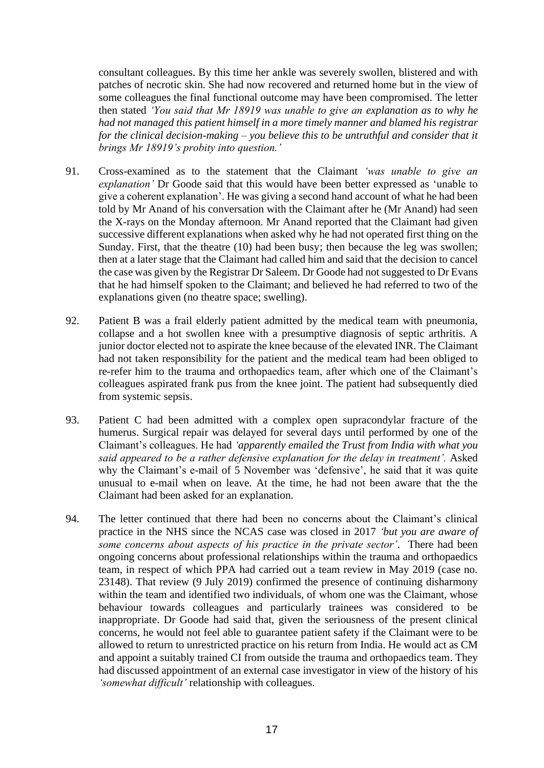consultant colleagues. By this time her ankle was severely swollen, blistered and with patches of necrotic skin. She had now recovered and returned home but in the view of some colleagues the final functional outcome may have been compromised. The letter then stated *'You said that Mr 18919 was unable to give an explanation as to why he had not managed this patient himself in a more timely manner and blamed his registrar for the clinical decision-making – you believe this to be untruthful and consider that it brings Mr 18919's probity into question.'*

- 91. Cross-examined as to the statement that the Claimant *'was unable to give an explanation'* Dr Goode said that this would have been better expressed as 'unable to give a coherent explanation'. He was giving a second hand account of what he had been told by Mr Anand of his conversation with the Claimant after he (Mr Anand) had seen the X-rays on the Monday afternoon. Mr Anand reported that the Claimant had given successive different explanations when asked why he had not operated first thing on the Sunday. First, that the theatre (10) had been busy; then because the leg was swollen; then at a later stage that the Claimant had called him and said that the decision to cancel the case was given by the Registrar Dr Saleem. Dr Goode had not suggested to Dr Evans that he had himself spoken to the Claimant; and believed he had referred to two of the explanations given (no theatre space; swelling).
- 92. Patient B was a frail elderly patient admitted by the medical team with pneumonia, collapse and a hot swollen knee with a presumptive diagnosis of septic arthritis. A junior doctor elected not to aspirate the knee because of the elevated INR. The Claimant had not taken responsibility for the patient and the medical team had been obliged to re-refer him to the trauma and orthopaedics team, after which one of the Claimant's colleagues aspirated frank pus from the knee joint. The patient had subsequently died from systemic sepsis.
- 93. Patient C had been admitted with a complex open supracondylar fracture of the humerus. Surgical repair was delayed for several days until performed by one of the Claimant's colleagues. He had *'apparently emailed the Trust from India with what you said appeared to be a rather defensive explanation for the delay in treatment'.* Asked why the Claimant's e-mail of 5 November was 'defensive', he said that it was quite unusual to e-mail when on leave. At the time, he had not been aware that the the Claimant had been asked for an explanation.
- 94. The letter continued that there had been no concerns about the Claimant's clinical practice in the NHS since the NCAS case was closed in 2017 *'but you are aware of some concerns about aspects of his practice in the private sector'*. There had been ongoing concerns about professional relationships within the trauma and orthopaedics team, in respect of which PPA had carried out a team review in May 2019 (case no. 23148). That review (9 July 2019) confirmed the presence of continuing disharmony within the team and identified two individuals, of whom one was the Claimant, whose behaviour towards colleagues and particularly trainees was considered to be inappropriate. Dr Goode had said that, given the seriousness of the present clinical concerns, he would not feel able to guarantee patient safety if the Claimant were to be allowed to return to unrestricted practice on his return from India. He would act as CM and appoint a suitably trained CI from outside the trauma and orthopaedics team. They had discussed appointment of an external case investigator in view of the history of his *'somewhat difficult'* relationship with colleagues.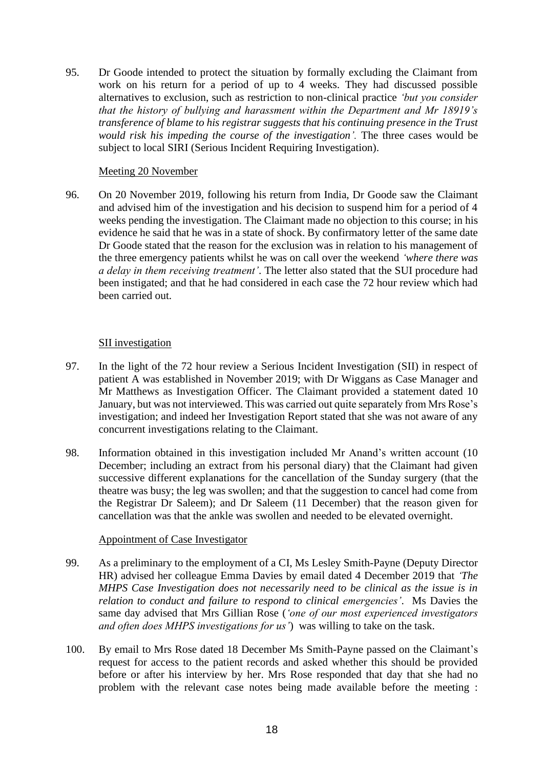95. Dr Goode intended to protect the situation by formally excluding the Claimant from work on his return for a period of up to 4 weeks. They had discussed possible alternatives to exclusion, such as restriction to non-clinical practice *'but you consider that the history of bullying and harassment within the Department and Mr 18919's transference of blame to his registrar suggests that his continuing presence in the Trust would risk his impeding the course of the investigation'.* The three cases would be subject to local SIRI (Serious Incident Requiring Investigation).

## Meeting 20 November

96. On 20 November 2019, following his return from India, Dr Goode saw the Claimant and advised him of the investigation and his decision to suspend him for a period of 4 weeks pending the investigation. The Claimant made no objection to this course; in his evidence he said that he was in a state of shock. By confirmatory letter of the same date Dr Goode stated that the reason for the exclusion was in relation to his management of the three emergency patients whilst he was on call over the weekend *'where there was a delay in them receiving treatment'*. The letter also stated that the SUI procedure had been instigated; and that he had considered in each case the 72 hour review which had been carried out.

# SII investigation

- 97. In the light of the 72 hour review a Serious Incident Investigation (SII) in respect of patient A was established in November 2019; with Dr Wiggans as Case Manager and Mr Matthews as Investigation Officer. The Claimant provided a statement dated 10 January, but was not interviewed. This was carried out quite separately from Mrs Rose's investigation; and indeed her Investigation Report stated that she was not aware of any concurrent investigations relating to the Claimant.
- 98. Information obtained in this investigation included Mr Anand's written account (10 December; including an extract from his personal diary) that the Claimant had given successive different explanations for the cancellation of the Sunday surgery (that the theatre was busy; the leg was swollen; and that the suggestion to cancel had come from the Registrar Dr Saleem); and Dr Saleem (11 December) that the reason given for cancellation was that the ankle was swollen and needed to be elevated overnight.

# Appointment of Case Investigator

- 99. As a preliminary to the employment of a CI, Ms Lesley Smith-Payne (Deputy Director HR) advised her colleague Emma Davies by email dated 4 December 2019 that *'The MHPS Case Investigation does not necessarily need to be clinical as the issue is in relation to conduct and failure to respond to clinical emergencies'*. Ms Davies the same day advised that Mrs Gillian Rose (*'one of our most experienced investigators and often does MHPS investigations for us'*) was willing to take on the task.
- 100. By email to Mrs Rose dated 18 December Ms Smith-Payne passed on the Claimant's request for access to the patient records and asked whether this should be provided before or after his interview by her. Mrs Rose responded that day that she had no problem with the relevant case notes being made available before the meeting :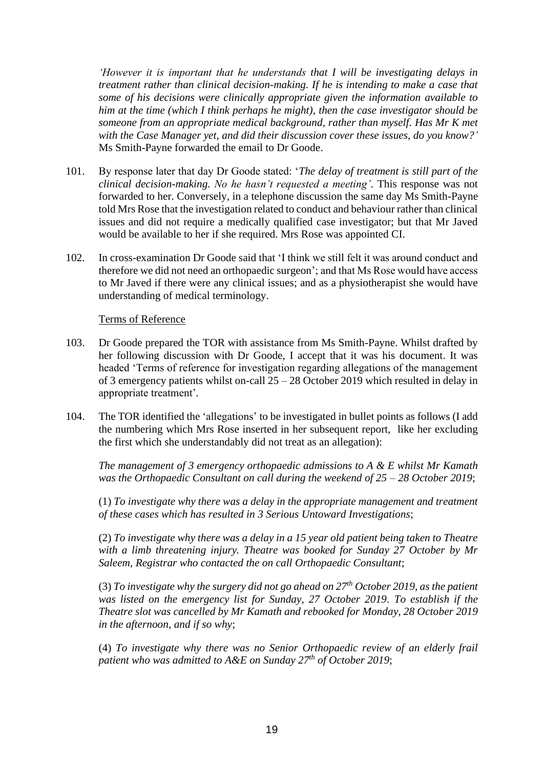*'However it is important that he understands that I will be investigating delays in treatment rather than clinical decision-making. If he is intending to make a case that some of his decisions were clinically appropriate given the information available to him at the time (which I think perhaps he might), then the case investigator should be someone from an appropriate medical background, rather than myself. Has Mr K met with the Case Manager yet, and did their discussion cover these issues, do you know?'* Ms Smith-Payne forwarded the email to Dr Goode.

- 101. By response later that day Dr Goode stated: '*The delay of treatment is still part of the clinical decision-making. No he hasn't requested a meeting'*. This response was not forwarded to her. Conversely, in a telephone discussion the same day Ms Smith-Payne told Mrs Rose that the investigation related to conduct and behaviour rather than clinical issues and did not require a medically qualified case investigator; but that Mr Javed would be available to her if she required. Mrs Rose was appointed CI.
- 102. In cross-examination Dr Goode said that 'I think we still felt it was around conduct and therefore we did not need an orthopaedic surgeon'; and that Ms Rose would have access to Mr Javed if there were any clinical issues; and as a physiotherapist she would have understanding of medical terminology.

#### Terms of Reference

- 103. Dr Goode prepared the TOR with assistance from Ms Smith-Payne. Whilst drafted by her following discussion with Dr Goode, I accept that it was his document. It was headed 'Terms of reference for investigation regarding allegations of the management of 3 emergency patients whilst on-call 25 – 28 October 2019 which resulted in delay in appropriate treatment'*.*
- 104. The TOR identified the 'allegations' to be investigated in bullet points as follows (I add the numbering which Mrs Rose inserted in her subsequent report, like her excluding the first which she understandably did not treat as an allegation):

*The management of 3 emergency orthopaedic admissions to A & E whilst Mr Kamath was the Orthopaedic Consultant on call during the weekend of 25 – 28 October 2019*;

(1) *To investigate why there was a delay in the appropriate management and treatment of these cases which has resulted in 3 Serious Untoward Investigations*;

(2) *To investigate why there was a delay in a 15 year old patient being taken to Theatre with a limb threatening injury. Theatre was booked for Sunday 27 October by Mr Saleem, Registrar who contacted the on call Orthopaedic Consultant*;

(3) *To investigate why the surgery did not go ahead on 27th October 2019, as the patient was listed on the emergency list for Sunday, 27 October 2019. To establish if the Theatre slot was cancelled by Mr Kamath and rebooked for Monday, 28 October 2019 in the afternoon, and if so why*;

(4) *To investigate why there was no Senior Orthopaedic review of an elderly frail patient who was admitted to A&E on Sunday 27th of October 2019*;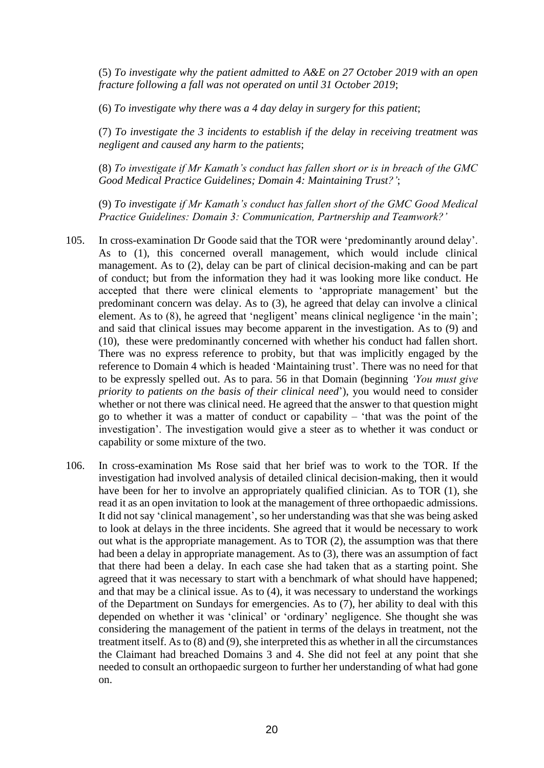(5) *To investigate why the patient admitted to A&E on 27 October 2019 with an open fracture following a fall was not operated on until 31 October 2019*;

(6) *To investigate why there was a 4 day delay in surgery for this patient*;

(7) *To investigate the 3 incidents to establish if the delay in receiving treatment was negligent and caused any harm to the patients*;

(8) *To investigate if Mr Kamath's conduct has fallen short or is in breach of the GMC Good Medical Practice Guidelines; Domain 4: Maintaining Trust?'*;

(9) *To investigate if Mr Kamath's conduct has fallen short of the GMC Good Medical Practice Guidelines: Domain 3: Communication, Partnership and Teamwork?'*

- 105. In cross-examination Dr Goode said that the TOR were 'predominantly around delay'. As to (1), this concerned overall management, which would include clinical management. As to (2), delay can be part of clinical decision-making and can be part of conduct; but from the information they had it was looking more like conduct. He accepted that there were clinical elements to 'appropriate management' but the predominant concern was delay. As to (3), he agreed that delay can involve a clinical element. As to (8), he agreed that 'negligent' means clinical negligence 'in the main'; and said that clinical issues may become apparent in the investigation. As to (9) and (10), these were predominantly concerned with whether his conduct had fallen short. There was no express reference to probity, but that was implicitly engaged by the reference to Domain 4 which is headed 'Maintaining trust'. There was no need for that to be expressly spelled out. As to para. 56 in that Domain (beginning *'You must give priority to patients on the basis of their clinical need*'), you would need to consider whether or not there was clinical need. He agreed that the answer to that question might go to whether it was a matter of conduct or capability – 'that was the point of the investigation'. The investigation would give a steer as to whether it was conduct or capability or some mixture of the two.
- 106. In cross-examination Ms Rose said that her brief was to work to the TOR. If the investigation had involved analysis of detailed clinical decision-making, then it would have been for her to involve an appropriately qualified clinician. As to TOR (1), she read it as an open invitation to look at the management of three orthopaedic admissions. It did not say 'clinical management', so her understanding was that she was being asked to look at delays in the three incidents. She agreed that it would be necessary to work out what is the appropriate management. As to TOR (2), the assumption was that there had been a delay in appropriate management. As to (3), there was an assumption of fact that there had been a delay. In each case she had taken that as a starting point. She agreed that it was necessary to start with a benchmark of what should have happened; and that may be a clinical issue. As to (4), it was necessary to understand the workings of the Department on Sundays for emergencies. As to (7), her ability to deal with this depended on whether it was 'clinical' or 'ordinary' negligence. She thought she was considering the management of the patient in terms of the delays in treatment, not the treatment itself. As to (8) and (9), she interpreted this as whether in all the circumstances the Claimant had breached Domains 3 and 4. She did not feel at any point that she needed to consult an orthopaedic surgeon to further her understanding of what had gone on.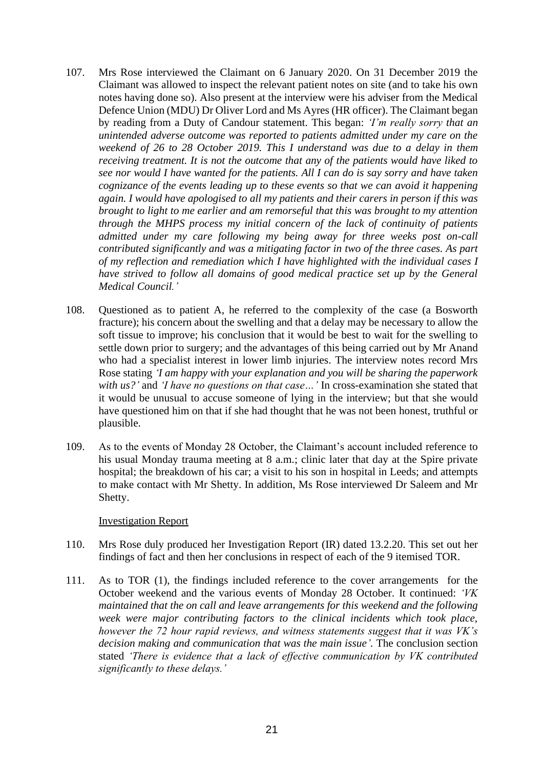- 107. Mrs Rose interviewed the Claimant on 6 January 2020. On 31 December 2019 the Claimant was allowed to inspect the relevant patient notes on site (and to take his own notes having done so). Also present at the interview were his adviser from the Medical Defence Union (MDU) Dr Oliver Lord and Ms Ayres (HR officer). The Claimant began by reading from a Duty of Candour statement. This began: *'I'm really sorry that an unintended adverse outcome was reported to patients admitted under my care on the weekend of 26 to 28 October 2019. This I understand was due to a delay in them receiving treatment. It is not the outcome that any of the patients would have liked to see nor would I have wanted for the patients. All I can do is say sorry and have taken cognizance of the events leading up to these events so that we can avoid it happening again. I would have apologised to all my patients and their carers in person if this was brought to light to me earlier and am remorseful that this was brought to my attention through the MHPS process my initial concern of the lack of continuity of patients admitted under my care following my being away for three weeks post on-call contributed significantly and was a mitigating factor in two of the three cases. As part of my reflection and remediation which I have highlighted with the individual cases I have strived to follow all domains of good medical practice set up by the General Medical Council.'*
- 108. Questioned as to patient A, he referred to the complexity of the case (a Bosworth fracture); his concern about the swelling and that a delay may be necessary to allow the soft tissue to improve; his conclusion that it would be best to wait for the swelling to settle down prior to surgery; and the advantages of this being carried out by Mr Anand who had a specialist interest in lower limb injuries. The interview notes record Mrs Rose stating *'I am happy with your explanation and you will be sharing the paperwork with us?'* and *'I have no questions on that case…'* In cross-examination she stated that it would be unusual to accuse someone of lying in the interview; but that she would have questioned him on that if she had thought that he was not been honest, truthful or plausible.
- 109. As to the events of Monday 28 October, the Claimant's account included reference to his usual Monday trauma meeting at 8 a.m.; clinic later that day at the Spire private hospital; the breakdown of his car; a visit to his son in hospital in Leeds; and attempts to make contact with Mr Shetty. In addition, Ms Rose interviewed Dr Saleem and Mr Shetty.

#### Investigation Report

- 110. Mrs Rose duly produced her Investigation Report (IR) dated 13.2.20. This set out her findings of fact and then her conclusions in respect of each of the 9 itemised TOR.
- 111. As to TOR (1), the findings included reference to the cover arrangements for the October weekend and the various events of Monday 28 October. It continued: *'VK maintained that the on call and leave arrangements for this weekend and the following week were major contributing factors to the clinical incidents which took place, however the 72 hour rapid reviews, and witness statements suggest that it was VK's decision making and communication that was the main issue'.* The conclusion section stated *'There is evidence that a lack of effective communication by VK contributed significantly to these delays.'*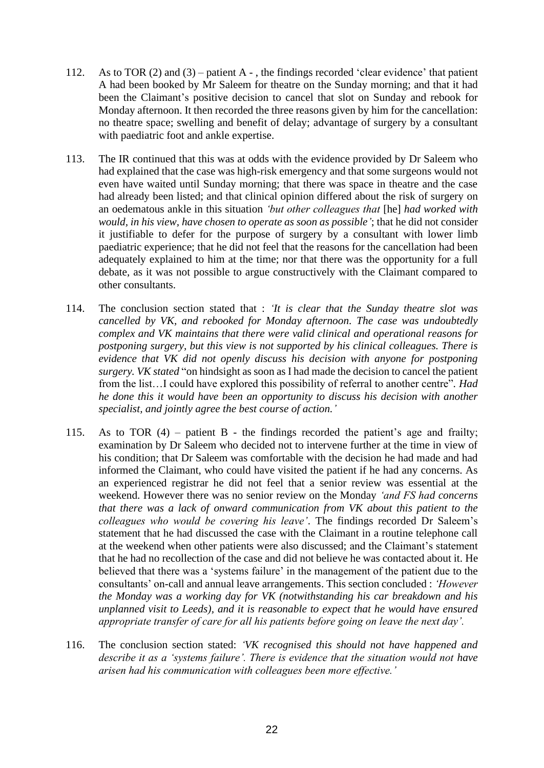- 112. As to TOR (2) and (3) patient A , the findings recorded 'clear evidence' that patient A had been booked by Mr Saleem for theatre on the Sunday morning; and that it had been the Claimant's positive decision to cancel that slot on Sunday and rebook for Monday afternoon. It then recorded the three reasons given by him for the cancellation: no theatre space; swelling and benefit of delay; advantage of surgery by a consultant with paediatric foot and ankle expertise.
- 113. The IR continued that this was at odds with the evidence provided by Dr Saleem who had explained that the case was high-risk emergency and that some surgeons would not even have waited until Sunday morning; that there was space in theatre and the case had already been listed; and that clinical opinion differed about the risk of surgery on an oedematous ankle in this situation *'but other colleagues that* [he] *had worked with would, in his view, have chosen to operate as soon as possible'*; that he did not consider it justifiable to defer for the purpose of surgery by a consultant with lower limb paediatric experience; that he did not feel that the reasons for the cancellation had been adequately explained to him at the time; nor that there was the opportunity for a full debate, as it was not possible to argue constructively with the Claimant compared to other consultants.
- 114. The conclusion section stated that : *'It is clear that the Sunday theatre slot was cancelled by VK, and rebooked for Monday afternoon. The case was undoubtedly complex and VK maintains that there were valid clinical and operational reasons for postponing surgery, but this view is not supported by his clinical colleagues. There is evidence that VK did not openly discuss his decision with anyone for postponing surgery. VK stated* "on hindsight as soon as I had made the decision to cancel the patient from the list…I could have explored this possibility of referral to another centre"*. Had he done this it would have been an opportunity to discuss his decision with another specialist, and jointly agree the best course of action.'*
- 115. As to TOR (4) patient B the findings recorded the patient's age and frailty; examination by Dr Saleem who decided not to intervene further at the time in view of his condition; that Dr Saleem was comfortable with the decision he had made and had informed the Claimant, who could have visited the patient if he had any concerns. As an experienced registrar he did not feel that a senior review was essential at the weekend. However there was no senior review on the Monday *'and FS had concerns that there was a lack of onward communication from VK about this patient to the colleagues who would be covering his leave'*. The findings recorded Dr Saleem's statement that he had discussed the case with the Claimant in a routine telephone call at the weekend when other patients were also discussed; and the Claimant's statement that he had no recollection of the case and did not believe he was contacted about it. He believed that there was a 'systems failure' in the management of the patient due to the consultants' on-call and annual leave arrangements. This section concluded : *'However the Monday was a working day for VK (notwithstanding his car breakdown and his unplanned visit to Leeds), and it is reasonable to expect that he would have ensured appropriate transfer of care for all his patients before going on leave the next day'.*
- 116. The conclusion section stated: *'VK recognised this should not have happened and describe it as a 'systems failure'. There is evidence that the situation would not have arisen had his communication with colleagues been more effective.'*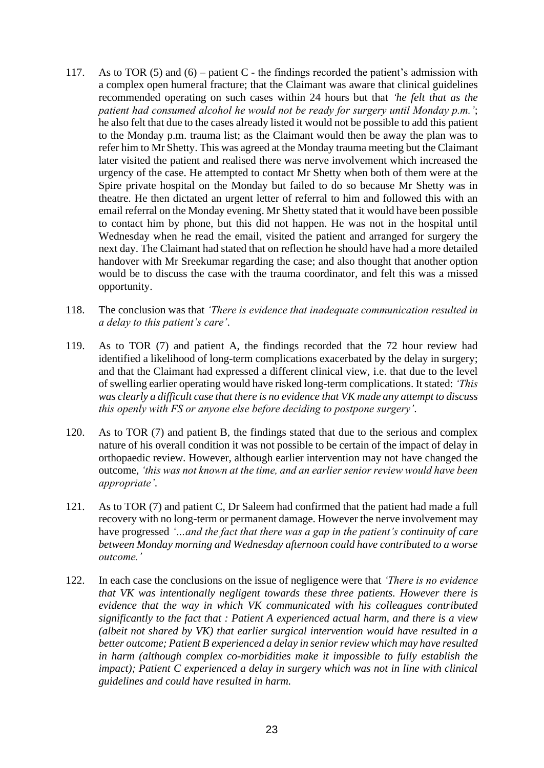- 117. As to TOR  $(5)$  and  $(6)$  patient C the findings recorded the patient's admission with a complex open humeral fracture; that the Claimant was aware that clinical guidelines recommended operating on such cases within 24 hours but that *'he felt that as the patient had consumed alcohol he would not be ready for surgery until Monday p.m.'*; he also felt that due to the cases already listed it would not be possible to add this patient to the Monday p.m. trauma list; as the Claimant would then be away the plan was to refer him to Mr Shetty. This was agreed at the Monday trauma meeting but the Claimant later visited the patient and realised there was nerve involvement which increased the urgency of the case. He attempted to contact Mr Shetty when both of them were at the Spire private hospital on the Monday but failed to do so because Mr Shetty was in theatre. He then dictated an urgent letter of referral to him and followed this with an email referral on the Monday evening. Mr Shetty stated that it would have been possible to contact him by phone, but this did not happen. He was not in the hospital until Wednesday when he read the email, visited the patient and arranged for surgery the next day. The Claimant had stated that on reflection he should have had a more detailed handover with Mr Sreekumar regarding the case; and also thought that another option would be to discuss the case with the trauma coordinator, and felt this was a missed opportunity.
- 118. The conclusion was that *'There is evidence that inadequate communication resulted in a delay to this patient's care'*.
- 119. As to TOR (7) and patient A, the findings recorded that the 72 hour review had identified a likelihood of long-term complications exacerbated by the delay in surgery; and that the Claimant had expressed a different clinical view, i.e. that due to the level of swelling earlier operating would have risked long-term complications. It stated: *'This was clearly a difficult case that there is no evidence that VK made any attempt to discuss this openly with FS or anyone else before deciding to postpone surgery'*.
- 120. As to TOR (7) and patient B, the findings stated that due to the serious and complex nature of his overall condition it was not possible to be certain of the impact of delay in orthopaedic review. However, although earlier intervention may not have changed the outcome, *'this was not known at the time, and an earlier senior review would have been appropriate'*.
- 121. As to TOR (7) and patient C, Dr Saleem had confirmed that the patient had made a full recovery with no long-term or permanent damage. However the nerve involvement may have progressed *'…and the fact that there was a gap in the patient's continuity of care between Monday morning and Wednesday afternoon could have contributed to a worse outcome.'*
- 122. In each case the conclusions on the issue of negligence were that *'There is no evidence that VK was intentionally negligent towards these three patients. However there is evidence that the way in which VK communicated with his colleagues contributed significantly to the fact that : Patient A experienced actual harm, and there is a view (albeit not shared by VK) that earlier surgical intervention would have resulted in a better outcome; Patient B experienced a delay in senior review which may have resulted in harm (although complex co-morbidities make it impossible to fully establish the impact); Patient C experienced a delay in surgery which was not in line with clinical guidelines and could have resulted in harm.*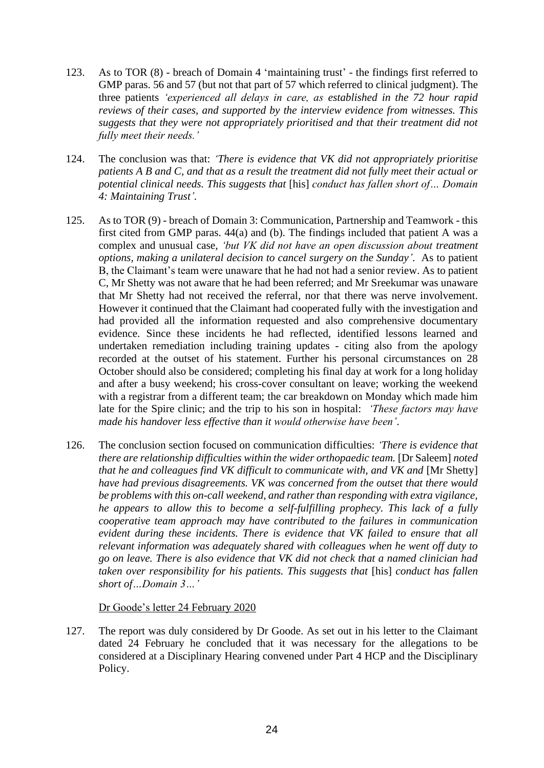- 123. As to TOR (8) breach of Domain 4 'maintaining trust' the findings first referred to GMP paras. 56 and 57 (but not that part of 57 which referred to clinical judgment). The three patients *'experienced all delays in care, as established in the 72 hour rapid reviews of their cases, and supported by the interview evidence from witnesses. This suggests that they were not appropriately prioritised and that their treatment did not fully meet their needs.'*
- 124. The conclusion was that: *'There is evidence that VK did not appropriately prioritise patients A B and C, and that as a result the treatment did not fully meet their actual or potential clinical needs. This suggests that* [his] *conduct has fallen short of… Domain 4: Maintaining Trust'.*
- 125. As to TOR (9) breach of Domain 3: Communication, Partnership and Teamwork this first cited from GMP paras. 44(a) and (b). The findings included that patient A was a complex and unusual case, *'but VK did not have an open discussion about treatment options, making a unilateral decision to cancel surgery on the Sunday'*. As to patient B, the Claimant's team were unaware that he had not had a senior review. As to patient C, Mr Shetty was not aware that he had been referred; and Mr Sreekumar was unaware that Mr Shetty had not received the referral, nor that there was nerve involvement. However it continued that the Claimant had cooperated fully with the investigation and had provided all the information requested and also comprehensive documentary evidence. Since these incidents he had reflected, identified lessons learned and undertaken remediation including training updates - citing also from the apology recorded at the outset of his statement. Further his personal circumstances on 28 October should also be considered; completing his final day at work for a long holiday and after a busy weekend; his cross-cover consultant on leave; working the weekend with a registrar from a different team; the car breakdown on Monday which made him late for the Spire clinic; and the trip to his son in hospital: *'These factors may have made his handover less effective than it would otherwise have been'*.
- 126. The conclusion section focused on communication difficulties: *'There is evidence that there are relationship difficulties within the wider orthopaedic team.* [Dr Saleem] *noted that he and colleagues find VK difficult to communicate with, and VK and [Mr Shetty] have had previous disagreements. VK was concerned from the outset that there would be problems with this on-call weekend, and rather than responding with extra vigilance, he appears to allow this to become a self-fulfilling prophecy. This lack of a fully cooperative team approach may have contributed to the failures in communication evident during these incidents. There is evidence that VK failed to ensure that all relevant information was adequately shared with colleagues when he went off duty to go on leave. There is also evidence that VK did not check that a named clinician had taken over responsibility for his patients. This suggests that* [his] *conduct has fallen short of…Domain 3…'*

#### Dr Goode's letter 24 February 2020

127. The report was duly considered by Dr Goode. As set out in his letter to the Claimant dated 24 February he concluded that it was necessary for the allegations to be considered at a Disciplinary Hearing convened under Part 4 HCP and the Disciplinary Policy.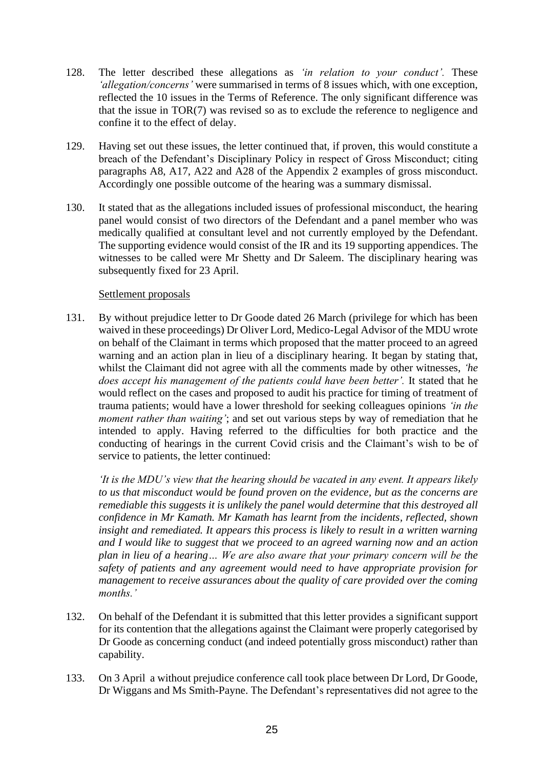- 128. The letter described these allegations as *'in relation to your conduct'.* These *'allegation/concerns'* were summarised in terms of 8 issues which, with one exception, reflected the 10 issues in the Terms of Reference. The only significant difference was that the issue in TOR(7) was revised so as to exclude the reference to negligence and confine it to the effect of delay.
- 129. Having set out these issues, the letter continued that, if proven, this would constitute a breach of the Defendant's Disciplinary Policy in respect of Gross Misconduct; citing paragraphs A8, A17, A22 and A28 of the Appendix 2 examples of gross misconduct. Accordingly one possible outcome of the hearing was a summary dismissal.
- 130. It stated that as the allegations included issues of professional misconduct, the hearing panel would consist of two directors of the Defendant and a panel member who was medically qualified at consultant level and not currently employed by the Defendant. The supporting evidence would consist of the IR and its 19 supporting appendices. The witnesses to be called were Mr Shetty and Dr Saleem. The disciplinary hearing was subsequently fixed for 23 April.

## Settlement proposals

131. By without prejudice letter to Dr Goode dated 26 March (privilege for which has been waived in these proceedings) Dr Oliver Lord, Medico-Legal Advisor of the MDU wrote on behalf of the Claimant in terms which proposed that the matter proceed to an agreed warning and an action plan in lieu of a disciplinary hearing. It began by stating that, whilst the Claimant did not agree with all the comments made by other witnesses, *'he does accept his management of the patients could have been better'.* It stated that he would reflect on the cases and proposed to audit his practice for timing of treatment of trauma patients; would have a lower threshold for seeking colleagues opinions *'in the moment rather than waiting'*; and set out various steps by way of remediation that he intended to apply. Having referred to the difficulties for both practice and the conducting of hearings in the current Covid crisis and the Claimant's wish to be of service to patients, the letter continued:

*'It is the MDU's view that the hearing should be vacated in any event. It appears likely to us that misconduct would be found proven on the evidence, but as the concerns are remediable this suggests it is unlikely the panel would determine that this destroyed all confidence in Mr Kamath. Mr Kamath has learnt from the incidents, reflected, shown insight and remediated. It appears this process is likely to result in a written warning and I would like to suggest that we proceed to an agreed warning now and an action plan in lieu of a hearing… We are also aware that your primary concern will be the safety of patients and any agreement would need to have appropriate provision for management to receive assurances about the quality of care provided over the coming months.'*

- 132. On behalf of the Defendant it is submitted that this letter provides a significant support for its contention that the allegations against the Claimant were properly categorised by Dr Goode as concerning conduct (and indeed potentially gross misconduct) rather than capability.
- 133. On 3 April a without prejudice conference call took place between Dr Lord, Dr Goode, Dr Wiggans and Ms Smith-Payne. The Defendant's representatives did not agree to the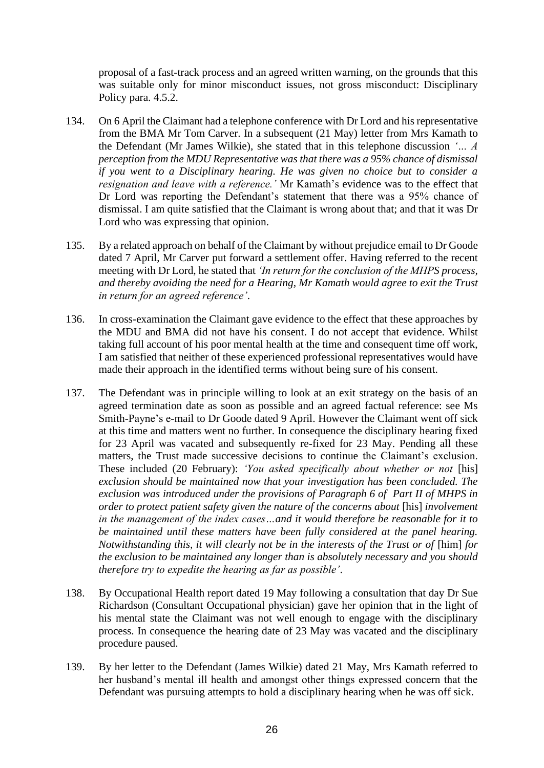proposal of a fast-track process and an agreed written warning, on the grounds that this was suitable only for minor misconduct issues, not gross misconduct: Disciplinary Policy para. 4.5.2.

- 134. On 6 April the Claimant had a telephone conference with Dr Lord and his representative from the BMA Mr Tom Carver. In a subsequent (21 May) letter from Mrs Kamath to the Defendant (Mr James Wilkie), she stated that in this telephone discussion *'… A perception from the MDU Representative was that there was a 95% chance of dismissal if you went to a Disciplinary hearing. He was given no choice but to consider a resignation and leave with a reference.'* Mr Kamath's evidence was to the effect that Dr Lord was reporting the Defendant's statement that there was a 95% chance of dismissal. I am quite satisfied that the Claimant is wrong about that; and that it was Dr Lord who was expressing that opinion.
- 135. By a related approach on behalf of the Claimant by without prejudice email to Dr Goode dated 7 April, Mr Carver put forward a settlement offer. Having referred to the recent meeting with Dr Lord, he stated that *'In return for the conclusion of the MHPS process, and thereby avoiding the need for a Hearing, Mr Kamath would agree to exit the Trust in return for an agreed reference'*.
- 136. In cross-examination the Claimant gave evidence to the effect that these approaches by the MDU and BMA did not have his consent. I do not accept that evidence. Whilst taking full account of his poor mental health at the time and consequent time off work, I am satisfied that neither of these experienced professional representatives would have made their approach in the identified terms without being sure of his consent.
- 137. The Defendant was in principle willing to look at an exit strategy on the basis of an agreed termination date as soon as possible and an agreed factual reference: see Ms Smith-Payne's e-mail to Dr Goode dated 9 April. However the Claimant went off sick at this time and matters went no further. In consequence the disciplinary hearing fixed for 23 April was vacated and subsequently re-fixed for 23 May. Pending all these matters, the Trust made successive decisions to continue the Claimant's exclusion. These included (20 February): *'You asked specifically about whether or not* [his] *exclusion should be maintained now that your investigation has been concluded. The exclusion was introduced under the provisions of Paragraph 6 of Part II of MHPS in order to protect patient safety given the nature of the concerns about* [his] *involvement in the management of the index cases…and it would therefore be reasonable for it to be maintained until these matters have been fully considered at the panel hearing. Notwithstanding this, it will clearly not be in the interests of the Trust or of [him] for the exclusion to be maintained any longer than is absolutely necessary and you should therefore try to expedite the hearing as far as possible'*.
- 138. By Occupational Health report dated 19 May following a consultation that day Dr Sue Richardson (Consultant Occupational physician) gave her opinion that in the light of his mental state the Claimant was not well enough to engage with the disciplinary process. In consequence the hearing date of 23 May was vacated and the disciplinary procedure paused.
- 139. By her letter to the Defendant (James Wilkie) dated 21 May, Mrs Kamath referred to her husband's mental ill health and amongst other things expressed concern that the Defendant was pursuing attempts to hold a disciplinary hearing when he was off sick.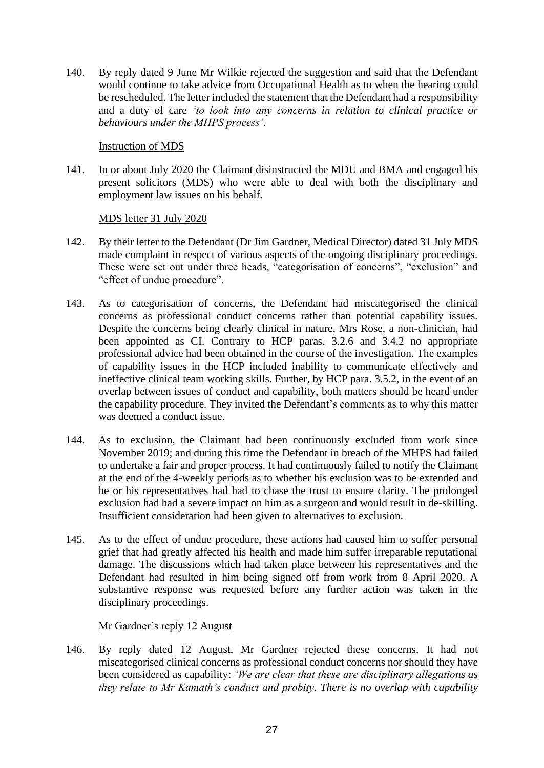140. By reply dated 9 June Mr Wilkie rejected the suggestion and said that the Defendant would continue to take advice from Occupational Health as to when the hearing could be rescheduled. The letter included the statement that the Defendant had a responsibility and a duty of care *'to look into any concerns in relation to clinical practice or behaviours under the MHPS process'*.

## Instruction of MDS

141. In or about July 2020 the Claimant disinstructed the MDU and BMA and engaged his present solicitors (MDS) who were able to deal with both the disciplinary and employment law issues on his behalf.

# MDS letter 31 July 2020

- 142. By their letter to the Defendant (Dr Jim Gardner, Medical Director) dated 31 July MDS made complaint in respect of various aspects of the ongoing disciplinary proceedings. These were set out under three heads, "categorisation of concerns", "exclusion" and "effect of undue procedure".
- 143. As to categorisation of concerns, the Defendant had miscategorised the clinical concerns as professional conduct concerns rather than potential capability issues. Despite the concerns being clearly clinical in nature, Mrs Rose, a non-clinician, had been appointed as CI. Contrary to HCP paras. 3.2.6 and 3.4.2 no appropriate professional advice had been obtained in the course of the investigation. The examples of capability issues in the HCP included inability to communicate effectively and ineffective clinical team working skills. Further, by HCP para. 3.5.2, in the event of an overlap between issues of conduct and capability, both matters should be heard under the capability procedure. They invited the Defendant's comments as to why this matter was deemed a conduct issue.
- 144. As to exclusion, the Claimant had been continuously excluded from work since November 2019; and during this time the Defendant in breach of the MHPS had failed to undertake a fair and proper process. It had continuously failed to notify the Claimant at the end of the 4-weekly periods as to whether his exclusion was to be extended and he or his representatives had had to chase the trust to ensure clarity. The prolonged exclusion had had a severe impact on him as a surgeon and would result in de-skilling. Insufficient consideration had been given to alternatives to exclusion.
- 145. As to the effect of undue procedure, these actions had caused him to suffer personal grief that had greatly affected his health and made him suffer irreparable reputational damage. The discussions which had taken place between his representatives and the Defendant had resulted in him being signed off from work from 8 April 2020. A substantive response was requested before any further action was taken in the disciplinary proceedings.

# Mr Gardner's reply 12 August

146. By reply dated 12 August, Mr Gardner rejected these concerns. It had not miscategorised clinical concerns as professional conduct concerns nor should they have been considered as capability: *'We are clear that these are disciplinary allegations as they relate to Mr Kamath's conduct and probity. There is no overlap with capability*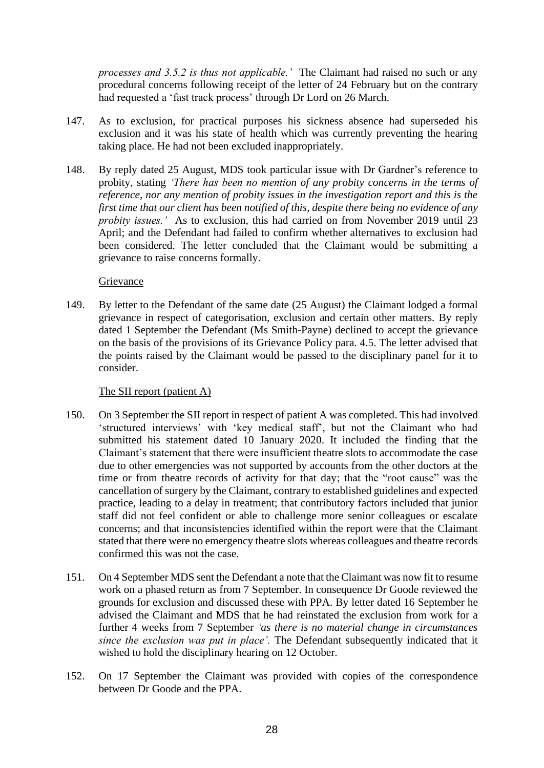*processes and 3.5.2 is thus not applicable.'* The Claimant had raised no such or any procedural concerns following receipt of the letter of 24 February but on the contrary had requested a 'fast track process' through Dr Lord on 26 March.

- 147. As to exclusion, for practical purposes his sickness absence had superseded his exclusion and it was his state of health which was currently preventing the hearing taking place. He had not been excluded inappropriately.
- 148. By reply dated 25 August, MDS took particular issue with Dr Gardner's reference to probity, stating *'There has been no mention of any probity concerns in the terms of reference, nor any mention of probity issues in the investigation report and this is the first time that our client has been notified of this, despite there being no evidence of any probity issues.'* As to exclusion, this had carried on from November 2019 until 23 April; and the Defendant had failed to confirm whether alternatives to exclusion had been considered. The letter concluded that the Claimant would be submitting a grievance to raise concerns formally.

## Grievance

149. By letter to the Defendant of the same date (25 August) the Claimant lodged a formal grievance in respect of categorisation, exclusion and certain other matters. By reply dated 1 September the Defendant (Ms Smith-Payne) declined to accept the grievance on the basis of the provisions of its Grievance Policy para. 4.5. The letter advised that the points raised by the Claimant would be passed to the disciplinary panel for it to consider.

#### The SII report (patient A)

- 150. On 3 September the SII report in respect of patient A was completed. This had involved 'structured interviews' with 'key medical staff', but not the Claimant who had submitted his statement dated 10 January 2020. It included the finding that the Claimant's statement that there were insufficient theatre slots to accommodate the case due to other emergencies was not supported by accounts from the other doctors at the time or from theatre records of activity for that day; that the "root cause" was the cancellation of surgery by the Claimant, contrary to established guidelines and expected practice, leading to a delay in treatment; that contributory factors included that junior staff did not feel confident or able to challenge more senior colleagues or escalate concerns; and that inconsistencies identified within the report were that the Claimant stated that there were no emergency theatre slots whereas colleagues and theatre records confirmed this was not the case.
- 151. On 4 September MDS sent the Defendant a note that the Claimant was now fit to resume work on a phased return as from 7 September. In consequence Dr Goode reviewed the grounds for exclusion and discussed these with PPA. By letter dated 16 September he advised the Claimant and MDS that he had reinstated the exclusion from work for a further 4 weeks from 7 September *'as there is no material change in circumstances since the exclusion was put in place'.* The Defendant subsequently indicated that it wished to hold the disciplinary hearing on 12 October.
- 152. On 17 September the Claimant was provided with copies of the correspondence between Dr Goode and the PPA.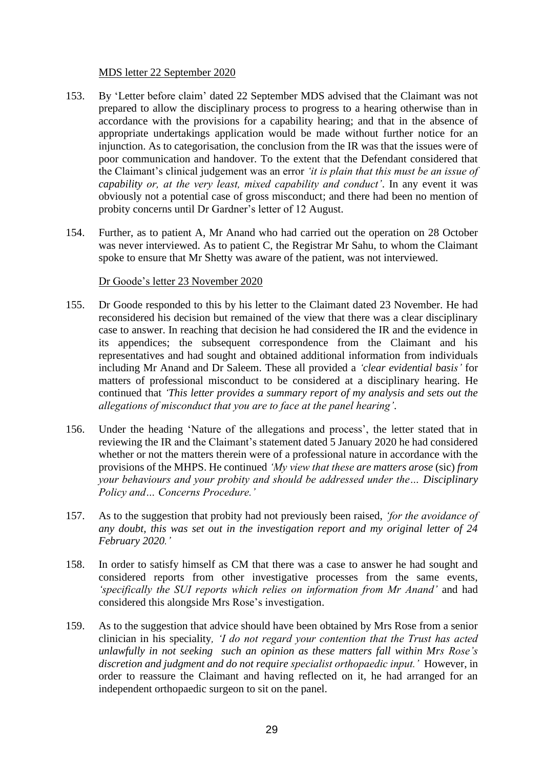#### MDS letter 22 September 2020

- 153. By 'Letter before claim' dated 22 September MDS advised that the Claimant was not prepared to allow the disciplinary process to progress to a hearing otherwise than in accordance with the provisions for a capability hearing; and that in the absence of appropriate undertakings application would be made without further notice for an injunction. As to categorisation, the conclusion from the IR was that the issues were of poor communication and handover. To the extent that the Defendant considered that the Claimant's clinical judgement was an error *'it is plain that this must be an issue of capability or, at the very least, mixed capability and conduct'*. In any event it was obviously not a potential case of gross misconduct; and there had been no mention of probity concerns until Dr Gardner's letter of 12 August.
- 154. Further, as to patient A, Mr Anand who had carried out the operation on 28 October was never interviewed. As to patient C, the Registrar Mr Sahu, to whom the Claimant spoke to ensure that Mr Shetty was aware of the patient, was not interviewed.

#### Dr Goode's letter 23 November 2020

- 155. Dr Goode responded to this by his letter to the Claimant dated 23 November. He had reconsidered his decision but remained of the view that there was a clear disciplinary case to answer. In reaching that decision he had considered the IR and the evidence in its appendices; the subsequent correspondence from the Claimant and his representatives and had sought and obtained additional information from individuals including Mr Anand and Dr Saleem. These all provided a *'clear evidential basis'* for matters of professional misconduct to be considered at a disciplinary hearing. He continued that *'This letter provides a summary report of my analysis and sets out the allegations of misconduct that you are to face at the panel hearing'*.
- 156. Under the heading 'Nature of the allegations and process', the letter stated that in reviewing the IR and the Claimant's statement dated 5 January 2020 he had considered whether or not the matters therein were of a professional nature in accordance with the provisions of the MHPS. He continued *'My view that these are matters arose* (sic) *from your behaviours and your probity and should be addressed under the… Disciplinary Policy and… Concerns Procedure.'*
- 157. As to the suggestion that probity had not previously been raised, *'for the avoidance of any doubt, this was set out in the investigation report and my original letter of 24 February 2020.'*
- 158. In order to satisfy himself as CM that there was a case to answer he had sought and considered reports from other investigative processes from the same events, *'specifically the SUI reports which relies on information from Mr Anand'* and had considered this alongside Mrs Rose's investigation.
- 159. As to the suggestion that advice should have been obtained by Mrs Rose from a senior clinician in his speciality*, 'I do not regard your contention that the Trust has acted unlawfully in not seeking such an opinion as these matters fall within Mrs Rose's discretion and judgment and do not require specialist orthopaedic input.'* However, in order to reassure the Claimant and having reflected on it, he had arranged for an independent orthopaedic surgeon to sit on the panel.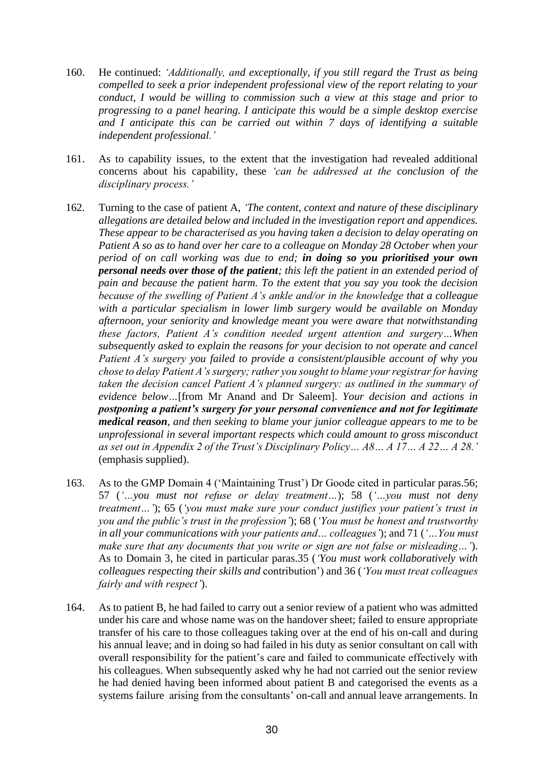- 160. He continued: *'Additionally, and exceptionally, if you still regard the Trust as being compelled to seek a prior independent professional view of the report relating to your conduct, I would be willing to commission such a view at this stage and prior to progressing to a panel hearing. I anticipate this would be a simple desktop exercise and I anticipate this can be carried out within 7 days of identifying a suitable independent professional.'*
- 161. As to capability issues, to the extent that the investigation had revealed additional concerns about his capability, these *'can be addressed at the conclusion of the disciplinary process.'*
- 162. Turning to the case of patient A, *'The content, context and nature of these disciplinary allegations are detailed below and included in the investigation report and appendices. These appear to be characterised as you having taken a decision to delay operating on Patient A so as to hand over her care to a colleague on Monday 28 October when your period of on call working was due to end; in doing so you prioritised your own personal needs over those of the patient; this left the patient in an extended period of pain and because the patient harm. To the extent that you say you took the decision because of the swelling of Patient A's ankle and/or in the knowledge that a colleague with a particular specialism in lower limb surgery would be available on Monday afternoon, your seniority and knowledge meant you were aware that notwithstanding these factors, Patient A's condition needed urgent attention and surgery…When subsequently asked to explain the reasons for your decision to not operate and cancel Patient A's surgery you failed to provide a consistent/plausible account of why you chose to delay Patient A's surgery; rather you sought to blame your registrar for having taken the decision cancel Patient A's planned surgery: as outlined in the summary of evidence below…*[from Mr Anand and Dr Saleem]. *Your decision and actions in postponing a patient's surgery for your personal convenience and not for legitimate medical reason, and then seeking to blame your junior colleague appears to me to be unprofessional in several important respects which could amount to gross misconduct as set out in Appendix 2 of the Trust's Disciplinary Policy… A8… A 17… A 22… A 28.'* (emphasis supplied).
- 163. As to the GMP Domain 4 ('Maintaining Trust') Dr Goode cited in particular paras.56; 57 (*'…you must not refuse or delay treatment…*); 58 (*'…you must not deny treatment…'*); 65 (*'you must make sure your conduct justifies your patient's trust in you and the public's trust in the profession'*); 68 (*'You must be honest and trustworthy in all your communications with your patients and… colleagues'*); and 71 (*'…You must make sure that any documents that you write or sign are not false or misleading…'*). As to Domain 3, he cited in particular paras.35 (*'You must work collaboratively with colleagues respecting their skills and* contribution') and 36 (*'You must treat colleagues fairly and with respect'*).
- 164. As to patient B, he had failed to carry out a senior review of a patient who was admitted under his care and whose name was on the handover sheet; failed to ensure appropriate transfer of his care to those colleagues taking over at the end of his on-call and during his annual leave; and in doing so had failed in his duty as senior consultant on call with overall responsibility for the patient's care and failed to communicate effectively with his colleagues. When subsequently asked why he had not carried out the senior review he had denied having been informed about patient B and categorised the events as a systems failure arising from the consultants' on-call and annual leave arrangements. In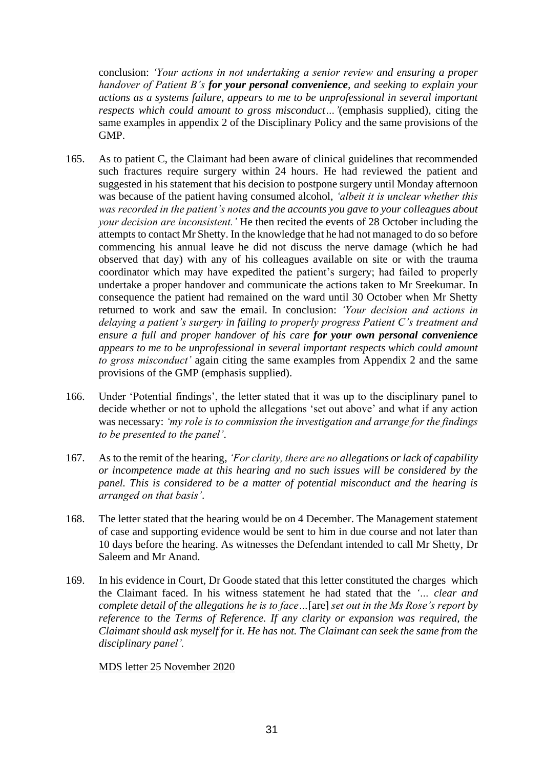conclusion: *'Your actions in not undertaking a senior review and ensuring a proper handover of Patient B's for your personal convenience, and seeking to explain your actions as a systems failure, appears to me to be unprofessional in several important respects which could amount to gross misconduct…'*(emphasis supplied)*,* citing the same examples in appendix 2 of the Disciplinary Policy and the same provisions of the GMP.

- 165. As to patient C, the Claimant had been aware of clinical guidelines that recommended such fractures require surgery within 24 hours. He had reviewed the patient and suggested in his statement that his decision to postpone surgery until Monday afternoon was because of the patient having consumed alcohol, *'albeit it is unclear whether this was recorded in the patient's notes and the accounts you gave to your colleagues about your decision are inconsistent.'* He then recited the events of 28 October including the attempts to contact Mr Shetty. In the knowledge that he had not managed to do so before commencing his annual leave he did not discuss the nerve damage (which he had observed that day) with any of his colleagues available on site or with the trauma coordinator which may have expedited the patient's surgery; had failed to properly undertake a proper handover and communicate the actions taken to Mr Sreekumar. In consequence the patient had remained on the ward until 30 October when Mr Shetty returned to work and saw the email. In conclusion: *'Your decision and actions in delaying a patient's surgery in failing to properly progress Patient C's treatment and ensure a full and proper handover of his care for your own personal convenience appears to me to be unprofessional in several important respects which could amount to gross misconduct'* again citing the same examples from Appendix 2 and the same provisions of the GMP (emphasis supplied).
- 166. Under 'Potential findings', the letter stated that it was up to the disciplinary panel to decide whether or not to uphold the allegations 'set out above' and what if any action was necessary: *'my role is to commission the investigation and arrange for the findings to be presented to the panel'*.
- 167. As to the remit of the hearing, *'For clarity, there are no allegations or lack of capability or incompetence made at this hearing and no such issues will be considered by the panel. This is considered to be a matter of potential misconduct and the hearing is arranged on that basis'*.
- 168. The letter stated that the hearing would be on 4 December. The Management statement of case and supporting evidence would be sent to him in due course and not later than 10 days before the hearing. As witnesses the Defendant intended to call Mr Shetty, Dr Saleem and Mr Anand.
- 169. In his evidence in Court, Dr Goode stated that this letter constituted the charges which the Claimant faced. In his witness statement he had stated that the *'… clear and complete detail of the allegations he is to face…*[are] *set out in the Ms Rose's report by reference to the Terms of Reference. If any clarity or expansion was required, the Claimant should ask myself for it. He has not. The Claimant can seek the same from the disciplinary panel'.*

MDS letter 25 November 2020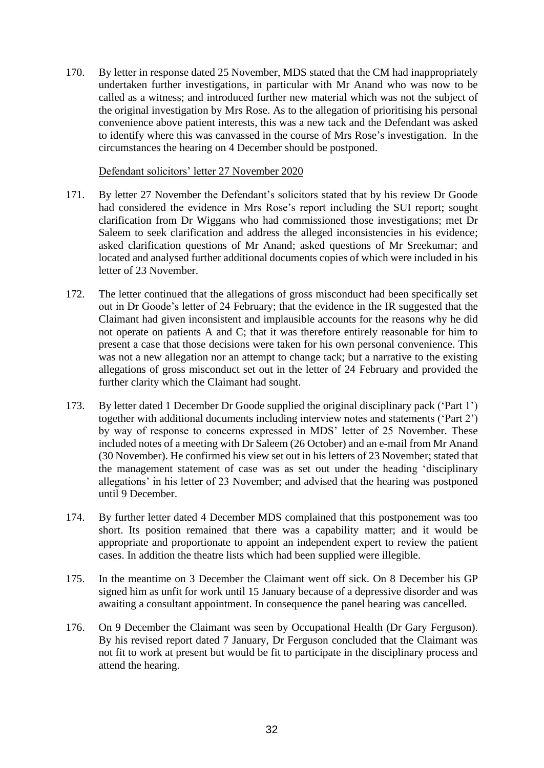170. By letter in response dated 25 November, MDS stated that the CM had inappropriately undertaken further investigations, in particular with Mr Anand who was now to be called as a witness; and introduced further new material which was not the subject of the original investigation by Mrs Rose. As to the allegation of prioritising his personal convenience above patient interests, this was a new tack and the Defendant was asked to identify where this was canvassed in the course of Mrs Rose's investigation. In the circumstances the hearing on 4 December should be postponed.

### Defendant solicitors' letter 27 November 2020

- 171. By letter 27 November the Defendant's solicitors stated that by his review Dr Goode had considered the evidence in Mrs Rose's report including the SUI report; sought clarification from Dr Wiggans who had commissioned those investigations; met Dr Saleem to seek clarification and address the alleged inconsistencies in his evidence; asked clarification questions of Mr Anand; asked questions of Mr Sreekumar; and located and analysed further additional documents copies of which were included in his letter of 23 November.
- 172. The letter continued that the allegations of gross misconduct had been specifically set out in Dr Goode's letter of 24 February; that the evidence in the IR suggested that the Claimant had given inconsistent and implausible accounts for the reasons why he did not operate on patients A and C; that it was therefore entirely reasonable for him to present a case that those decisions were taken for his own personal convenience. This was not a new allegation nor an attempt to change tack; but a narrative to the existing allegations of gross misconduct set out in the letter of 24 February and provided the further clarity which the Claimant had sought.
- 173. By letter dated 1 December Dr Goode supplied the original disciplinary pack ('Part 1') together with additional documents including interview notes and statements ('Part 2') by way of response to concerns expressed in MDS' letter of 25 November. These included notes of a meeting with Dr Saleem (26 October) and an e-mail from Mr Anand (30 November). He confirmed his view set out in his letters of 23 November; stated that the management statement of case was as set out under the heading 'disciplinary allegations' in his letter of 23 November; and advised that the hearing was postponed until 9 December.
- 174. By further letter dated 4 December MDS complained that this postponement was too short. Its position remained that there was a capability matter; and it would be appropriate and proportionate to appoint an independent expert to review the patient cases. In addition the theatre lists which had been supplied were illegible.
- 175. In the meantime on 3 December the Claimant went off sick. On 8 December his GP signed him as unfit for work until 15 January because of a depressive disorder and was awaiting a consultant appointment. In consequence the panel hearing was cancelled.
- 176. On 9 December the Claimant was seen by Occupational Health (Dr Gary Ferguson). By his revised report dated 7 January, Dr Ferguson concluded that the Claimant was not fit to work at present but would be fit to participate in the disciplinary process and attend the hearing.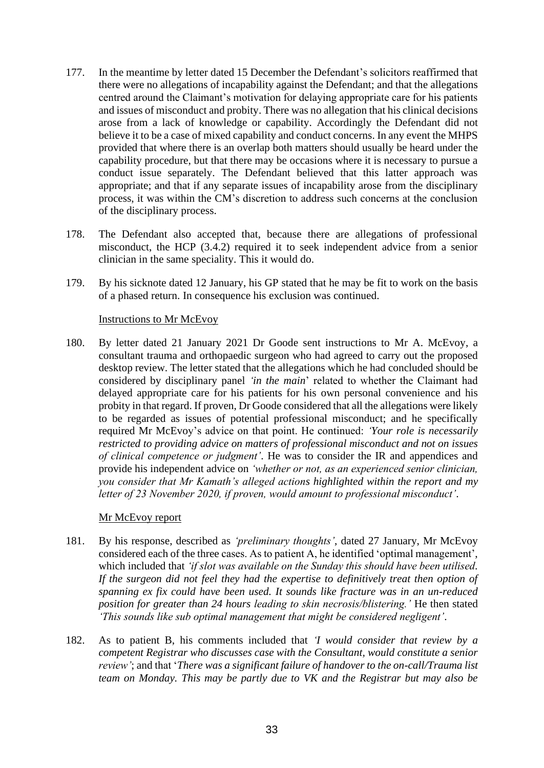- 177. In the meantime by letter dated 15 December the Defendant's solicitors reaffirmed that there were no allegations of incapability against the Defendant; and that the allegations centred around the Claimant's motivation for delaying appropriate care for his patients and issues of misconduct and probity. There was no allegation that his clinical decisions arose from a lack of knowledge or capability. Accordingly the Defendant did not believe it to be a case of mixed capability and conduct concerns. In any event the MHPS provided that where there is an overlap both matters should usually be heard under the capability procedure, but that there may be occasions where it is necessary to pursue a conduct issue separately. The Defendant believed that this latter approach was appropriate; and that if any separate issues of incapability arose from the disciplinary process, it was within the CM's discretion to address such concerns at the conclusion of the disciplinary process.
- 178. The Defendant also accepted that, because there are allegations of professional misconduct, the HCP (3.4.2) required it to seek independent advice from a senior clinician in the same speciality. This it would do.
- 179. By his sicknote dated 12 January, his GP stated that he may be fit to work on the basis of a phased return. In consequence his exclusion was continued.

## Instructions to Mr McEvoy

180. By letter dated 21 January 2021 Dr Goode sent instructions to Mr A. McEvoy, a consultant trauma and orthopaedic surgeon who had agreed to carry out the proposed desktop review. The letter stated that the allegations which he had concluded should be considered by disciplinary panel *'in the main*' related to whether the Claimant had delayed appropriate care for his patients for his own personal convenience and his probity in that regard. If proven, Dr Goode considered that all the allegations were likely to be regarded as issues of potential professional misconduct; and he specifically required Mr McEvoy's advice on that point. He continued: *'Your role is necessarily restricted to providing advice on matters of professional misconduct and not on issues of clinical competence or judgment'*. He was to consider the IR and appendices and provide his independent advice on *'whether or not, as an experienced senior clinician, you consider that Mr Kamath's alleged actions highlighted within the report and my letter of 23 November 2020, if proven, would amount to professional misconduct'*.

#### Mr McEvoy report

- 181. By his response, described as *'preliminary thoughts'*, dated 27 January, Mr McEvoy considered each of the three cases. As to patient A, he identified 'optimal management', which included that *'if slot was available on the Sunday this should have been utilised. If the surgeon did not feel they had the expertise to definitively treat then option of spanning ex fix could have been used. It sounds like fracture was in an un-reduced position for greater than 24 hours leading to skin necrosis/blistering.'* He then stated *'This sounds like sub optimal management that might be considered negligent'*.
- 182. As to patient B, his comments included that *'I would consider that review by a competent Registrar who discusses case with the Consultant, would constitute a senior review'*; and that '*There was a significant failure of handover to the on-call/Trauma list team on Monday. This may be partly due to VK and the Registrar but may also be*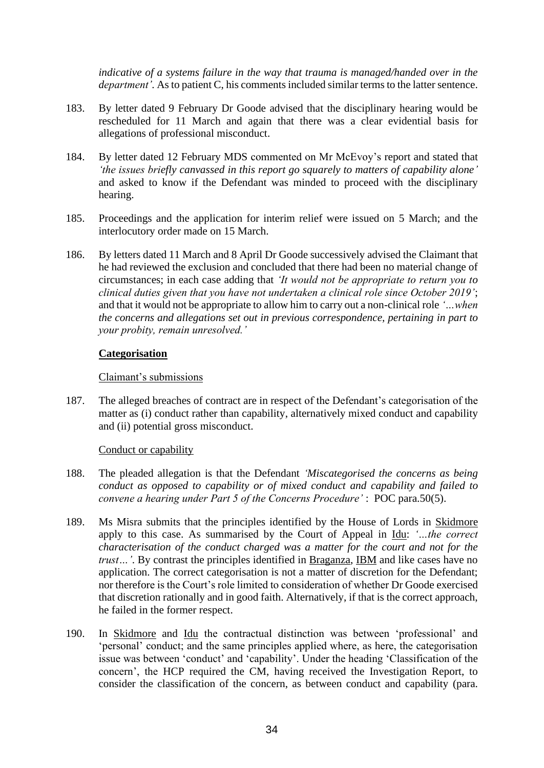*indicative of a systems failure in the way that trauma is managed/handed over in the department'.* As to patient C, his comments included similar terms to the latter sentence.

- 183. By letter dated 9 February Dr Goode advised that the disciplinary hearing would be rescheduled for 11 March and again that there was a clear evidential basis for allegations of professional misconduct.
- 184. By letter dated 12 February MDS commented on Mr McEvoy's report and stated that *'the issues briefly canvassed in this report go squarely to matters of capability alone'* and asked to know if the Defendant was minded to proceed with the disciplinary hearing.
- 185. Proceedings and the application for interim relief were issued on 5 March; and the interlocutory order made on 15 March.
- 186. By letters dated 11 March and 8 April Dr Goode successively advised the Claimant that he had reviewed the exclusion and concluded that there had been no material change of circumstances; in each case adding that *'It would not be appropriate to return you to clinical duties given that you have not undertaken a clinical role since October 2019'*; and that it would not be appropriate to allow him to carry out a non-clinical role *'…when the concerns and allegations set out in previous correspondence, pertaining in part to your probity, remain unresolved.'*

#### **Categorisation**

#### Claimant's submissions

187. The alleged breaches of contract are in respect of the Defendant's categorisation of the matter as (i) conduct rather than capability, alternatively mixed conduct and capability and (ii) potential gross misconduct.

#### Conduct or capability

- 188. The pleaded allegation is that the Defendant *'Miscategorised the concerns as being conduct as opposed to capability or of mixed conduct and capability and failed to convene a hearing under Part 5 of the Concerns Procedure'* : POC para.50(5).
- 189. Ms Misra submits that the principles identified by the House of Lords in Skidmore apply to this case. As summarised by the Court of Appeal in Idu: *'…the correct characterisation of the conduct charged was a matter for the court and not for the trust…'*. By contrast the principles identified in Braganza, IBM and like cases have no application. The correct categorisation is not a matter of discretion for the Defendant; nor therefore is the Court's role limited to consideration of whether Dr Goode exercised that discretion rationally and in good faith. Alternatively, if that is the correct approach, he failed in the former respect.
- 190. In Skidmore and Idu the contractual distinction was between 'professional' and 'personal' conduct; and the same principles applied where, as here, the categorisation issue was between 'conduct' and 'capability'. Under the heading 'Classification of the concern', the HCP required the CM, having received the Investigation Report, to consider the classification of the concern, as between conduct and capability (para.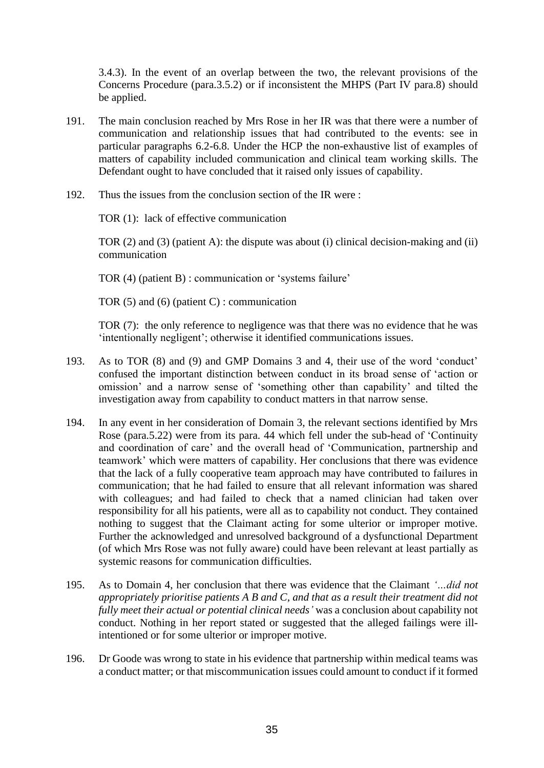3.4.3). In the event of an overlap between the two, the relevant provisions of the Concerns Procedure (para.3.5.2) or if inconsistent the MHPS (Part IV para.8) should be applied.

- 191. The main conclusion reached by Mrs Rose in her IR was that there were a number of communication and relationship issues that had contributed to the events: see in particular paragraphs 6.2-6.8. Under the HCP the non-exhaustive list of examples of matters of capability included communication and clinical team working skills. The Defendant ought to have concluded that it raised only issues of capability.
- 192. Thus the issues from the conclusion section of the IR were :

TOR (1): lack of effective communication

TOR (2) and (3) (patient A): the dispute was about (i) clinical decision-making and (ii) communication

TOR (4) (patient B) : communication or 'systems failure'

TOR (5) and (6) (patient C) : communication

TOR (7): the only reference to negligence was that there was no evidence that he was 'intentionally negligent'; otherwise it identified communications issues.

- 193. As to TOR (8) and (9) and GMP Domains 3 and 4, their use of the word 'conduct' confused the important distinction between conduct in its broad sense of 'action or omission' and a narrow sense of 'something other than capability' and tilted the investigation away from capability to conduct matters in that narrow sense.
- 194. In any event in her consideration of Domain 3, the relevant sections identified by Mrs Rose (para.5.22) were from its para. 44 which fell under the sub-head of 'Continuity and coordination of care' and the overall head of 'Communication, partnership and teamwork' which were matters of capability. Her conclusions that there was evidence that the lack of a fully cooperative team approach may have contributed to failures in communication; that he had failed to ensure that all relevant information was shared with colleagues; and had failed to check that a named clinician had taken over responsibility for all his patients, were all as to capability not conduct. They contained nothing to suggest that the Claimant acting for some ulterior or improper motive. Further the acknowledged and unresolved background of a dysfunctional Department (of which Mrs Rose was not fully aware) could have been relevant at least partially as systemic reasons for communication difficulties.
- 195. As to Domain 4, her conclusion that there was evidence that the Claimant *'…did not appropriately prioritise patients A B and C, and that as a result their treatment did not fully meet their actual or potential clinical needs'* was a conclusion about capability not conduct. Nothing in her report stated or suggested that the alleged failings were illintentioned or for some ulterior or improper motive.
- 196. Dr Goode was wrong to state in his evidence that partnership within medical teams was a conduct matter; or that miscommunication issues could amount to conduct if it formed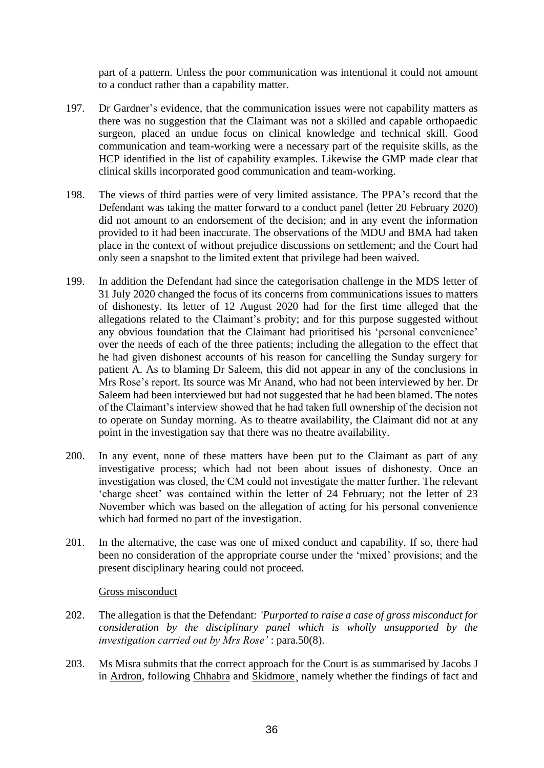part of a pattern. Unless the poor communication was intentional it could not amount to a conduct rather than a capability matter.

- 197. Dr Gardner's evidence, that the communication issues were not capability matters as there was no suggestion that the Claimant was not a skilled and capable orthopaedic surgeon, placed an undue focus on clinical knowledge and technical skill. Good communication and team-working were a necessary part of the requisite skills, as the HCP identified in the list of capability examples. Likewise the GMP made clear that clinical skills incorporated good communication and team-working.
- 198. The views of third parties were of very limited assistance. The PPA's record that the Defendant was taking the matter forward to a conduct panel (letter 20 February 2020) did not amount to an endorsement of the decision; and in any event the information provided to it had been inaccurate. The observations of the MDU and BMA had taken place in the context of without prejudice discussions on settlement; and the Court had only seen a snapshot to the limited extent that privilege had been waived.
- 199. In addition the Defendant had since the categorisation challenge in the MDS letter of 31 July 2020 changed the focus of its concerns from communications issues to matters of dishonesty. Its letter of 12 August 2020 had for the first time alleged that the allegations related to the Claimant's probity; and for this purpose suggested without any obvious foundation that the Claimant had prioritised his 'personal convenience' over the needs of each of the three patients; including the allegation to the effect that he had given dishonest accounts of his reason for cancelling the Sunday surgery for patient A. As to blaming Dr Saleem, this did not appear in any of the conclusions in Mrs Rose's report. Its source was Mr Anand, who had not been interviewed by her. Dr Saleem had been interviewed but had not suggested that he had been blamed. The notes of the Claimant's interview showed that he had taken full ownership of the decision not to operate on Sunday morning. As to theatre availability, the Claimant did not at any point in the investigation say that there was no theatre availability.
- 200. In any event, none of these matters have been put to the Claimant as part of any investigative process; which had not been about issues of dishonesty. Once an investigation was closed, the CM could not investigate the matter further. The relevant 'charge sheet' was contained within the letter of 24 February; not the letter of 23 November which was based on the allegation of acting for his personal convenience which had formed no part of the investigation.
- 201. In the alternative, the case was one of mixed conduct and capability. If so, there had been no consideration of the appropriate course under the 'mixed' provisions; and the present disciplinary hearing could not proceed.

#### Gross misconduct

- 202. The allegation is that the Defendant: *'Purported to raise a case of gross misconduct for consideration by the disciplinary panel which is wholly unsupported by the investigation carried out by Mrs Rose'* : para.50(8).
- 203. Ms Misra submits that the correct approach for the Court is as summarised by Jacobs J in Ardron, following Chhabra and Skidmore¸ namely whether the findings of fact and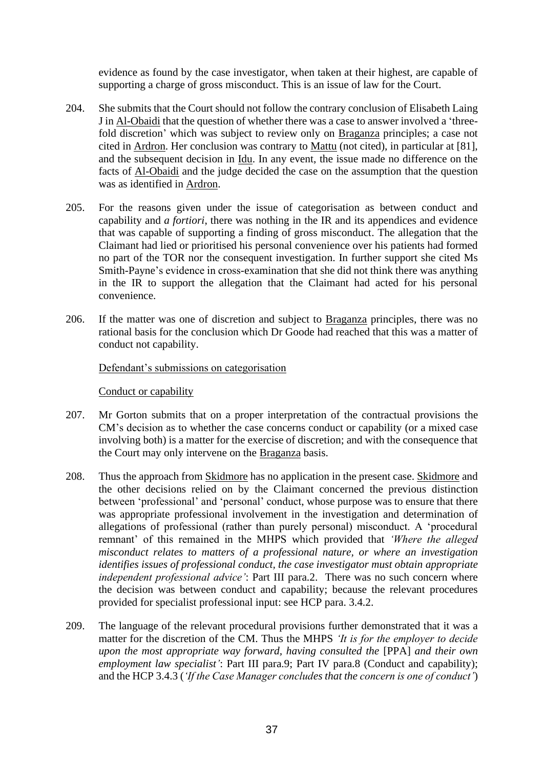evidence as found by the case investigator, when taken at their highest, are capable of supporting a charge of gross misconduct. This is an issue of law for the Court.

- 204. She submits that the Court should not follow the contrary conclusion of Elisabeth Laing J in Al-Obaidi that the question of whether there was a case to answer involved a 'threefold discretion' which was subject to review only on Braganza principles; a case not cited in Ardron. Her conclusion was contrary to Mattu (not cited), in particular at [81], and the subsequent decision in Idu. In any event, the issue made no difference on the facts of Al-Obaidi and the judge decided the case on the assumption that the question was as identified in Ardron.
- 205. For the reasons given under the issue of categorisation as between conduct and capability and *a fortiori*, there was nothing in the IR and its appendices and evidence that was capable of supporting a finding of gross misconduct. The allegation that the Claimant had lied or prioritised his personal convenience over his patients had formed no part of the TOR nor the consequent investigation. In further support she cited Ms Smith-Payne's evidence in cross-examination that she did not think there was anything in the IR to support the allegation that the Claimant had acted for his personal convenience.
- 206. If the matter was one of discretion and subject to Braganza principles, there was no rational basis for the conclusion which Dr Goode had reached that this was a matter of conduct not capability.

Defendant's submissions on categorisation

Conduct or capability

- 207. Mr Gorton submits that on a proper interpretation of the contractual provisions the CM's decision as to whether the case concerns conduct or capability (or a mixed case involving both) is a matter for the exercise of discretion; and with the consequence that the Court may only intervene on the Braganza basis.
- 208. Thus the approach from **Skidmore** has no application in the present case. Skidmore and the other decisions relied on by the Claimant concerned the previous distinction between 'professional' and 'personal' conduct, whose purpose was to ensure that there was appropriate professional involvement in the investigation and determination of allegations of professional (rather than purely personal) misconduct. A 'procedural remnant' of this remained in the MHPS which provided that *'Where the alleged misconduct relates to matters of a professional nature, or where an investigation identifies issues of professional conduct, the case investigator must obtain appropriate independent professional advice'*: Part III para.2. There was no such concern where the decision was between conduct and capability; because the relevant procedures provided for specialist professional input: see HCP para. 3.4.2.
- 209. The language of the relevant procedural provisions further demonstrated that it was a matter for the discretion of the CM. Thus the MHPS *'It is for the employer to decide upon the most appropriate way forward, having consulted the [PPA] and their own employment law specialist'*: Part III para.9; Part IV para.8 (Conduct and capability); and the HCP 3.4.3 (*'If the Case Manager concludes that the concern is one of conduct'*)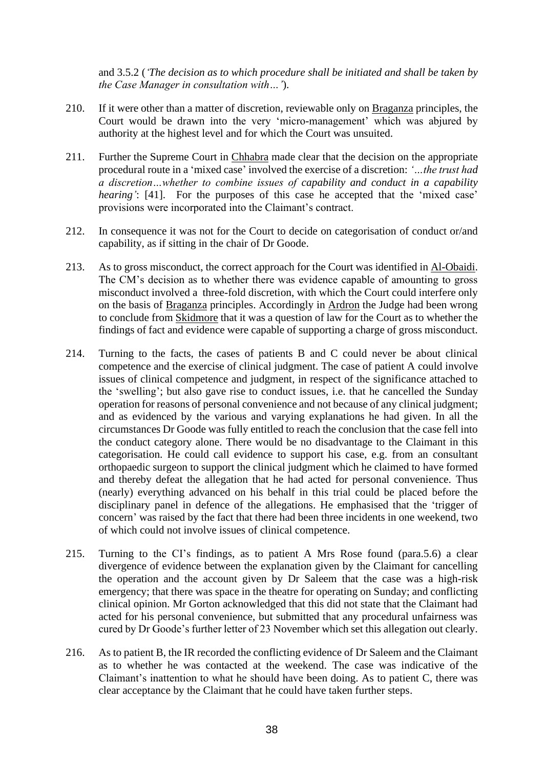and 3.5.2 (*'The decision as to which procedure shall be initiated and shall be taken by the Case Manager in consultation with…'*).

- 210. If it were other than a matter of discretion, reviewable only on Braganza principles, the Court would be drawn into the very 'micro-management' which was abjured by authority at the highest level and for which the Court was unsuited.
- 211. Further the Supreme Court in Chhabra made clear that the decision on the appropriate procedural route in a 'mixed case' involved the exercise of a discretion: *'…the trust had a discretion…whether to combine issues of capability and conduct in a capability hearing'*: [41]. For the purposes of this case he accepted that the 'mixed case' provisions were incorporated into the Claimant's contract.
- 212. In consequence it was not for the Court to decide on categorisation of conduct or/and capability, as if sitting in the chair of Dr Goode.
- 213. As to gross misconduct, the correct approach for the Court was identified in Al-Obaidi. The CM's decision as to whether there was evidence capable of amounting to gross misconduct involved a three-fold discretion, with which the Court could interfere only on the basis of Braganza principles. Accordingly in Ardron the Judge had been wrong to conclude from Skidmore that it was a question of law for the Court as to whether the findings of fact and evidence were capable of supporting a charge of gross misconduct.
- 214. Turning to the facts, the cases of patients B and C could never be about clinical competence and the exercise of clinical judgment. The case of patient A could involve issues of clinical competence and judgment, in respect of the significance attached to the 'swelling'; but also gave rise to conduct issues, i.e. that he cancelled the Sunday operation for reasons of personal convenience and not because of any clinical judgment; and as evidenced by the various and varying explanations he had given. In all the circumstances Dr Goode was fully entitled to reach the conclusion that the case fell into the conduct category alone. There would be no disadvantage to the Claimant in this categorisation. He could call evidence to support his case, e.g. from an consultant orthopaedic surgeon to support the clinical judgment which he claimed to have formed and thereby defeat the allegation that he had acted for personal convenience. Thus (nearly) everything advanced on his behalf in this trial could be placed before the disciplinary panel in defence of the allegations. He emphasised that the 'trigger of concern' was raised by the fact that there had been three incidents in one weekend, two of which could not involve issues of clinical competence.
- 215. Turning to the CI's findings, as to patient A Mrs Rose found (para.5.6) a clear divergence of evidence between the explanation given by the Claimant for cancelling the operation and the account given by Dr Saleem that the case was a high-risk emergency; that there was space in the theatre for operating on Sunday; and conflicting clinical opinion. Mr Gorton acknowledged that this did not state that the Claimant had acted for his personal convenience, but submitted that any procedural unfairness was cured by Dr Goode's further letter of 23 November which set this allegation out clearly.
- 216. As to patient B, the IR recorded the conflicting evidence of Dr Saleem and the Claimant as to whether he was contacted at the weekend. The case was indicative of the Claimant's inattention to what he should have been doing. As to patient C, there was clear acceptance by the Claimant that he could have taken further steps.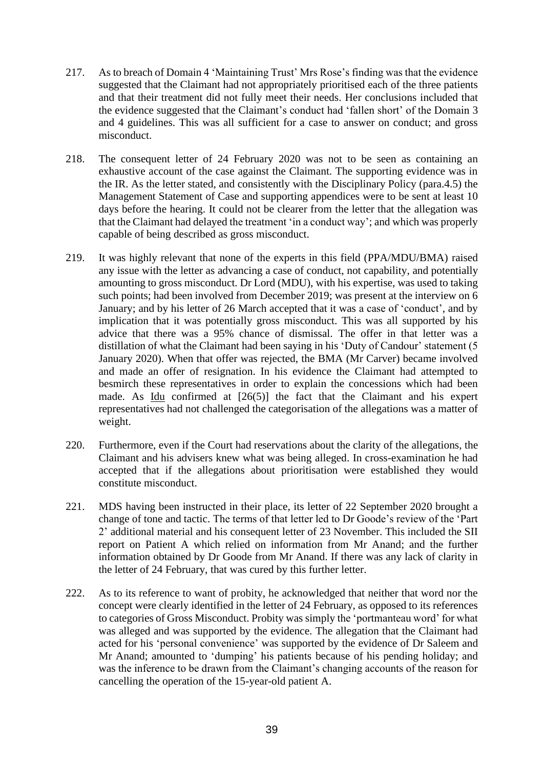- 217. As to breach of Domain 4 'Maintaining Trust' Mrs Rose's finding was that the evidence suggested that the Claimant had not appropriately prioritised each of the three patients and that their treatment did not fully meet their needs. Her conclusions included that the evidence suggested that the Claimant's conduct had 'fallen short' of the Domain 3 and 4 guidelines. This was all sufficient for a case to answer on conduct; and gross misconduct.
- 218. The consequent letter of 24 February 2020 was not to be seen as containing an exhaustive account of the case against the Claimant. The supporting evidence was in the IR. As the letter stated, and consistently with the Disciplinary Policy (para.4.5) the Management Statement of Case and supporting appendices were to be sent at least 10 days before the hearing. It could not be clearer from the letter that the allegation was that the Claimant had delayed the treatment 'in a conduct way'; and which was properly capable of being described as gross misconduct.
- 219. It was highly relevant that none of the experts in this field (PPA/MDU/BMA) raised any issue with the letter as advancing a case of conduct, not capability, and potentially amounting to gross misconduct. Dr Lord (MDU), with his expertise, was used to taking such points; had been involved from December 2019; was present at the interview on 6 January; and by his letter of 26 March accepted that it was a case of 'conduct', and by implication that it was potentially gross misconduct. This was all supported by his advice that there was a 95% chance of dismissal. The offer in that letter was a distillation of what the Claimant had been saying in his 'Duty of Candour' statement (5 January 2020). When that offer was rejected, the BMA (Mr Carver) became involved and made an offer of resignation. In his evidence the Claimant had attempted to besmirch these representatives in order to explain the concessions which had been made. As Idu confirmed at  $[26(5)]$  the fact that the Claimant and his expert representatives had not challenged the categorisation of the allegations was a matter of weight.
- 220. Furthermore, even if the Court had reservations about the clarity of the allegations, the Claimant and his advisers knew what was being alleged. In cross-examination he had accepted that if the allegations about prioritisation were established they would constitute misconduct.
- 221. MDS having been instructed in their place, its letter of 22 September 2020 brought a change of tone and tactic. The terms of that letter led to Dr Goode's review of the 'Part 2' additional material and his consequent letter of 23 November. This included the SII report on Patient A which relied on information from Mr Anand; and the further information obtained by Dr Goode from Mr Anand. If there was any lack of clarity in the letter of 24 February, that was cured by this further letter.
- 222. As to its reference to want of probity, he acknowledged that neither that word nor the concept were clearly identified in the letter of 24 February, as opposed to its references to categories of Gross Misconduct. Probity was simply the 'portmanteau word' for what was alleged and was supported by the evidence. The allegation that the Claimant had acted for his 'personal convenience' was supported by the evidence of Dr Saleem and Mr Anand; amounted to 'dumping' his patients because of his pending holiday; and was the inference to be drawn from the Claimant's changing accounts of the reason for cancelling the operation of the 15-year-old patient A.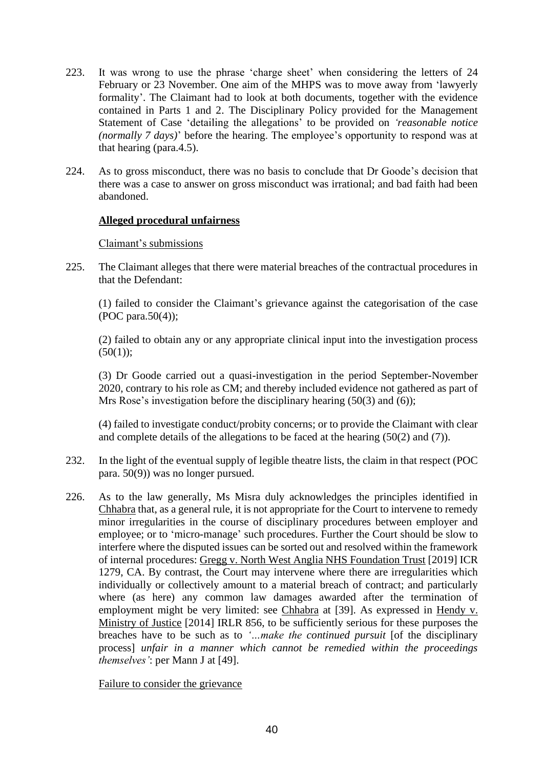- 223. It was wrong to use the phrase 'charge sheet' when considering the letters of 24 February or 23 November. One aim of the MHPS was to move away from 'lawyerly formality'. The Claimant had to look at both documents, together with the evidence contained in Parts 1 and 2. The Disciplinary Policy provided for the Management Statement of Case 'detailing the allegations' to be provided on *'reasonable notice (normally 7 days)*' before the hearing. The employee's opportunity to respond was at that hearing (para.4.5).
- 224. As to gross misconduct, there was no basis to conclude that Dr Goode's decision that there was a case to answer on gross misconduct was irrational; and bad faith had been abandoned.

# **Alleged procedural unfairness**

## Claimant's submissions

225. The Claimant alleges that there were material breaches of the contractual procedures in that the Defendant:

(1) failed to consider the Claimant's grievance against the categorisation of the case (POC para.50(4));

(2) failed to obtain any or any appropriate clinical input into the investigation process  $(50(1))$ ;

(3) Dr Goode carried out a quasi-investigation in the period September-November 2020, contrary to his role as CM; and thereby included evidence not gathered as part of Mrs Rose's investigation before the disciplinary hearing (50(3) and (6));

(4) failed to investigate conduct/probity concerns; or to provide the Claimant with clear and complete details of the allegations to be faced at the hearing (50(2) and (7)).

- 232. In the light of the eventual supply of legible theatre lists, the claim in that respect (POC para. 50(9)) was no longer pursued.
- 226. As to the law generally, Ms Misra duly acknowledges the principles identified in Chhabra that, as a general rule, it is not appropriate for the Court to intervene to remedy minor irregularities in the course of disciplinary procedures between employer and employee; or to 'micro-manage' such procedures. Further the Court should be slow to interfere where the disputed issues can be sorted out and resolved within the framework of internal procedures: Gregg v. North West Anglia NHS Foundation Trust [2019] ICR 1279, CA. By contrast, the Court may intervene where there are irregularities which individually or collectively amount to a material breach of contract; and particularly where (as here) any common law damages awarded after the termination of employment might be very limited: see Chhabra at [39]. As expressed in Hendy v. Ministry of Justice [2014] IRLR 856, to be sufficiently serious for these purposes the breaches have to be such as to *'…make the continued pursuit* [of the disciplinary process] *unfair in a manner which cannot be remedied within the proceedings themselves'*: per Mann J at [49].

Failure to consider the grievance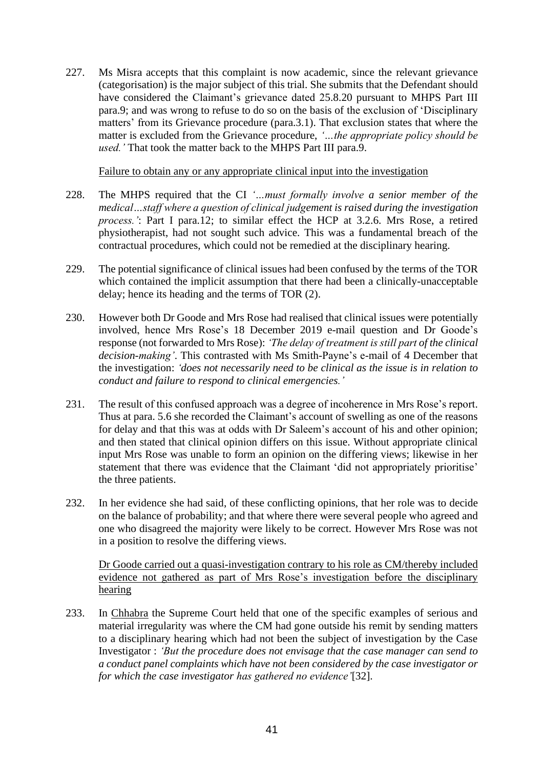227. Ms Misra accepts that this complaint is now academic, since the relevant grievance (categorisation) is the major subject of this trial. She submits that the Defendant should have considered the Claimant's grievance dated 25.8.20 pursuant to MHPS Part III para.9; and was wrong to refuse to do so on the basis of the exclusion of 'Disciplinary matters' from its Grievance procedure (para.3.1). That exclusion states that where the matter is excluded from the Grievance procedure, *'…the appropriate policy should be used.'* That took the matter back to the MHPS Part III para.9.

Failure to obtain any or any appropriate clinical input into the investigation

- 228. The MHPS required that the CI *'…must formally involve a senior member of the medical…staff where a question of clinical judgement is raised during the investigation process.'*: Part I para.12; to similar effect the HCP at 3.2.6. Mrs Rose, a retired physiotherapist, had not sought such advice. This was a fundamental breach of the contractual procedures, which could not be remedied at the disciplinary hearing.
- 229. The potential significance of clinical issues had been confused by the terms of the TOR which contained the implicit assumption that there had been a clinically-unacceptable delay; hence its heading and the terms of TOR (2).
- 230. However both Dr Goode and Mrs Rose had realised that clinical issues were potentially involved, hence Mrs Rose's 18 December 2019 e-mail question and Dr Goode's response (not forwarded to Mrs Rose): *'The delay of treatment is still part of the clinical decision-making'*. This contrasted with Ms Smith-Payne's e-mail of 4 December that the investigation: *'does not necessarily need to be clinical as the issue is in relation to conduct and failure to respond to clinical emergencies.'*
- 231. The result of this confused approach was a degree of incoherence in Mrs Rose's report. Thus at para. 5.6 she recorded the Claimant's account of swelling as one of the reasons for delay and that this was at odds with Dr Saleem's account of his and other opinion; and then stated that clinical opinion differs on this issue. Without appropriate clinical input Mrs Rose was unable to form an opinion on the differing views; likewise in her statement that there was evidence that the Claimant 'did not appropriately prioritise' the three patients.
- 232. In her evidence she had said, of these conflicting opinions, that her role was to decide on the balance of probability; and that where there were several people who agreed and one who disagreed the majority were likely to be correct. However Mrs Rose was not in a position to resolve the differing views.

Dr Goode carried out a quasi-investigation contrary to his role as CM/thereby included evidence not gathered as part of Mrs Rose's investigation before the disciplinary hearing

233. In Chhabra the Supreme Court held that one of the specific examples of serious and material irregularity was where the CM had gone outside his remit by sending matters to a disciplinary hearing which had not been the subject of investigation by the Case Investigator : *'But the procedure does not envisage that the case manager can send to a conduct panel complaints which have not been considered by the case investigator or for which the case investigator has gathered no evidence'*[32].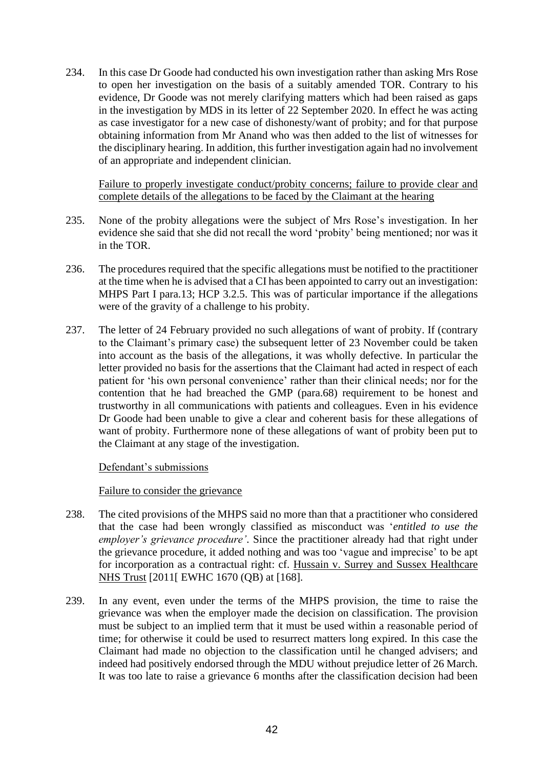234. In this case Dr Goode had conducted his own investigation rather than asking Mrs Rose to open her investigation on the basis of a suitably amended TOR. Contrary to his evidence, Dr Goode was not merely clarifying matters which had been raised as gaps in the investigation by MDS in its letter of 22 September 2020. In effect he was acting as case investigator for a new case of dishonesty/want of probity; and for that purpose obtaining information from Mr Anand who was then added to the list of witnesses for the disciplinary hearing. In addition, this further investigation again had no involvement of an appropriate and independent clinician.

Failure to properly investigate conduct/probity concerns; failure to provide clear and complete details of the allegations to be faced by the Claimant at the hearing

- 235. None of the probity allegations were the subject of Mrs Rose's investigation. In her evidence she said that she did not recall the word 'probity' being mentioned; nor was it in the TOR.
- 236. The procedures required that the specific allegations must be notified to the practitioner at the time when he is advised that a CI has been appointed to carry out an investigation: MHPS Part I para.13; HCP 3.2.5. This was of particular importance if the allegations were of the gravity of a challenge to his probity.
- 237. The letter of 24 February provided no such allegations of want of probity. If (contrary to the Claimant's primary case) the subsequent letter of 23 November could be taken into account as the basis of the allegations, it was wholly defective. In particular the letter provided no basis for the assertions that the Claimant had acted in respect of each patient for 'his own personal convenience' rather than their clinical needs; nor for the contention that he had breached the GMP (para.68) requirement to be honest and trustworthy in all communications with patients and colleagues. Even in his evidence Dr Goode had been unable to give a clear and coherent basis for these allegations of want of probity. Furthermore none of these allegations of want of probity been put to the Claimant at any stage of the investigation.

Defendant's submissions

#### Failure to consider the grievance

- 238. The cited provisions of the MHPS said no more than that a practitioner who considered that the case had been wrongly classified as misconduct was '*entitled to use the employer's grievance procedure'*. Since the practitioner already had that right under the grievance procedure, it added nothing and was too 'vague and imprecise' to be apt for incorporation as a contractual right: cf. Hussain v. Surrey and Sussex Healthcare NHS Trust [2011[ EWHC 1670 (QB) at [168].
- 239. In any event, even under the terms of the MHPS provision, the time to raise the grievance was when the employer made the decision on classification. The provision must be subject to an implied term that it must be used within a reasonable period of time; for otherwise it could be used to resurrect matters long expired. In this case the Claimant had made no objection to the classification until he changed advisers; and indeed had positively endorsed through the MDU without prejudice letter of 26 March. It was too late to raise a grievance 6 months after the classification decision had been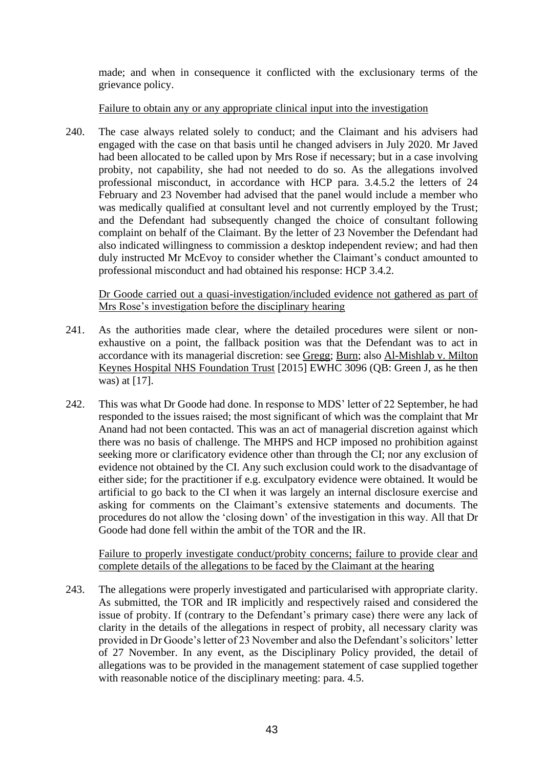made; and when in consequence it conflicted with the exclusionary terms of the grievance policy.

## Failure to obtain any or any appropriate clinical input into the investigation

240. The case always related solely to conduct; and the Claimant and his advisers had engaged with the case on that basis until he changed advisers in July 2020. Mr Javed had been allocated to be called upon by Mrs Rose if necessary; but in a case involving probity, not capability, she had not needed to do so. As the allegations involved professional misconduct, in accordance with HCP para. 3.4.5.2 the letters of 24 February and 23 November had advised that the panel would include a member who was medically qualified at consultant level and not currently employed by the Trust; and the Defendant had subsequently changed the choice of consultant following complaint on behalf of the Claimant. By the letter of 23 November the Defendant had also indicated willingness to commission a desktop independent review; and had then duly instructed Mr McEvoy to consider whether the Claimant's conduct amounted to professional misconduct and had obtained his response: HCP 3.4.2.

Dr Goode carried out a quasi-investigation/included evidence not gathered as part of Mrs Rose's investigation before the disciplinary hearing

- 241. As the authorities made clear, where the detailed procedures were silent or nonexhaustive on a point, the fallback position was that the Defendant was to act in accordance with its managerial discretion: see Gregg; Burn; also Al-Mishlab v. Milton Keynes Hospital NHS Foundation Trust [2015] EWHC 3096 (QB: Green J, as he then was) at [17].
- 242. This was what Dr Goode had done. In response to MDS' letter of 22 September, he had responded to the issues raised; the most significant of which was the complaint that Mr Anand had not been contacted. This was an act of managerial discretion against which there was no basis of challenge. The MHPS and HCP imposed no prohibition against seeking more or clarificatory evidence other than through the CI; nor any exclusion of evidence not obtained by the CI. Any such exclusion could work to the disadvantage of either side; for the practitioner if e.g. exculpatory evidence were obtained. It would be artificial to go back to the CI when it was largely an internal disclosure exercise and asking for comments on the Claimant's extensive statements and documents. The procedures do not allow the 'closing down' of the investigation in this way. All that Dr Goode had done fell within the ambit of the TOR and the IR.

Failure to properly investigate conduct/probity concerns; failure to provide clear and complete details of the allegations to be faced by the Claimant at the hearing

243. The allegations were properly investigated and particularised with appropriate clarity. As submitted, the TOR and IR implicitly and respectively raised and considered the issue of probity. If (contrary to the Defendant's primary case) there were any lack of clarity in the details of the allegations in respect of probity, all necessary clarity was provided in Dr Goode's letter of 23 November and also the Defendant's solicitors' letter of 27 November. In any event, as the Disciplinary Policy provided, the detail of allegations was to be provided in the management statement of case supplied together with reasonable notice of the disciplinary meeting: para. 4.5.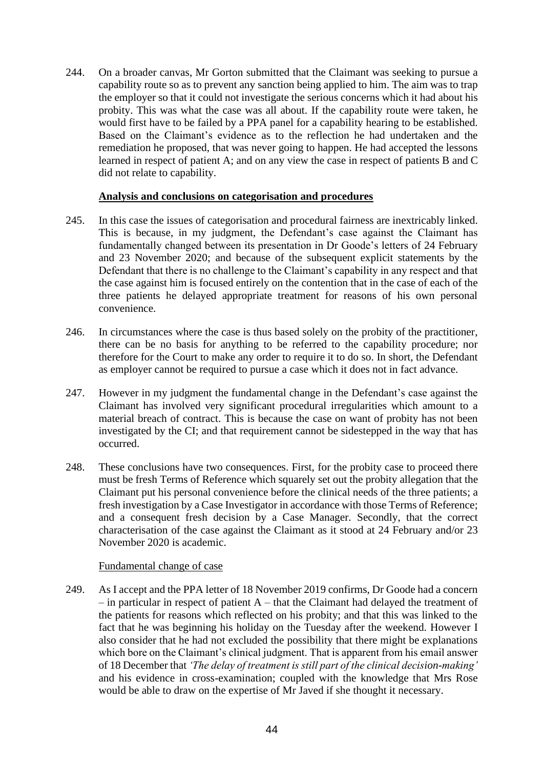244. On a broader canvas, Mr Gorton submitted that the Claimant was seeking to pursue a capability route so as to prevent any sanction being applied to him. The aim was to trap the employer so that it could not investigate the serious concerns which it had about his probity. This was what the case was all about. If the capability route were taken, he would first have to be failed by a PPA panel for a capability hearing to be established. Based on the Claimant's evidence as to the reflection he had undertaken and the remediation he proposed, that was never going to happen. He had accepted the lessons learned in respect of patient A; and on any view the case in respect of patients B and C did not relate to capability.

#### **Analysis and conclusions on categorisation and procedures**

- 245. In this case the issues of categorisation and procedural fairness are inextricably linked. This is because, in my judgment, the Defendant's case against the Claimant has fundamentally changed between its presentation in Dr Goode's letters of 24 February and 23 November 2020; and because of the subsequent explicit statements by the Defendant that there is no challenge to the Claimant's capability in any respect and that the case against him is focused entirely on the contention that in the case of each of the three patients he delayed appropriate treatment for reasons of his own personal convenience.
- 246. In circumstances where the case is thus based solely on the probity of the practitioner, there can be no basis for anything to be referred to the capability procedure; nor therefore for the Court to make any order to require it to do so. In short, the Defendant as employer cannot be required to pursue a case which it does not in fact advance.
- 247. However in my judgment the fundamental change in the Defendant's case against the Claimant has involved very significant procedural irregularities which amount to a material breach of contract. This is because the case on want of probity has not been investigated by the CI; and that requirement cannot be sidestepped in the way that has occurred.
- 248. These conclusions have two consequences. First, for the probity case to proceed there must be fresh Terms of Reference which squarely set out the probity allegation that the Claimant put his personal convenience before the clinical needs of the three patients; a fresh investigation by a Case Investigator in accordance with those Terms of Reference; and a consequent fresh decision by a Case Manager. Secondly, that the correct characterisation of the case against the Claimant as it stood at 24 February and/or 23 November 2020 is academic.

#### Fundamental change of case

249. As I accept and the PPA letter of 18 November 2019 confirms, Dr Goode had a concern  $-$  in particular in respect of patient A  $-$  that the Claimant had delayed the treatment of the patients for reasons which reflected on his probity; and that this was linked to the fact that he was beginning his holiday on the Tuesday after the weekend. However I also consider that he had not excluded the possibility that there might be explanations which bore on the Claimant's clinical judgment. That is apparent from his email answer of 18 December that *'The delay of treatment is still part of the clinical decision-making'* and his evidence in cross-examination; coupled with the knowledge that Mrs Rose would be able to draw on the expertise of Mr Javed if she thought it necessary.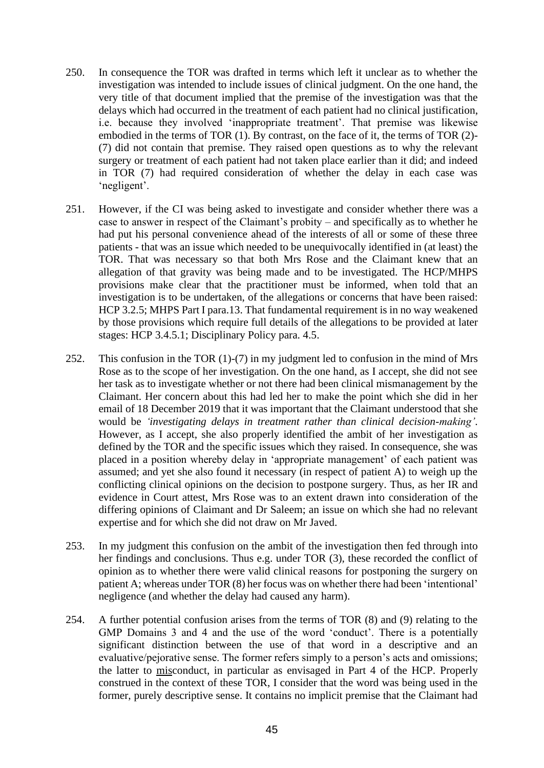- 250. In consequence the TOR was drafted in terms which left it unclear as to whether the investigation was intended to include issues of clinical judgment. On the one hand, the very title of that document implied that the premise of the investigation was that the delays which had occurred in the treatment of each patient had no clinical justification, i.e. because they involved 'inappropriate treatment'. That premise was likewise embodied in the terms of TOR (1). By contrast, on the face of it, the terms of TOR (2)- (7) did not contain that premise. They raised open questions as to why the relevant surgery or treatment of each patient had not taken place earlier than it did; and indeed in TOR (7) had required consideration of whether the delay in each case was 'negligent'.
- 251. However, if the CI was being asked to investigate and consider whether there was a case to answer in respect of the Claimant's probity – and specifically as to whether he had put his personal convenience ahead of the interests of all or some of these three patients - that was an issue which needed to be unequivocally identified in (at least) the TOR. That was necessary so that both Mrs Rose and the Claimant knew that an allegation of that gravity was being made and to be investigated. The HCP/MHPS provisions make clear that the practitioner must be informed, when told that an investigation is to be undertaken, of the allegations or concerns that have been raised: HCP 3.2.5; MHPS Part I para.13. That fundamental requirement is in no way weakened by those provisions which require full details of the allegations to be provided at later stages: HCP 3.4.5.1; Disciplinary Policy para. 4.5.
- 252. This confusion in the TOR (1)-(7) in my judgment led to confusion in the mind of Mrs Rose as to the scope of her investigation. On the one hand, as I accept, she did not see her task as to investigate whether or not there had been clinical mismanagement by the Claimant. Her concern about this had led her to make the point which she did in her email of 18 December 2019 that it was important that the Claimant understood that she would be *'investigating delays in treatment rather than clinical decision-making'*. However, as I accept, she also properly identified the ambit of her investigation as defined by the TOR and the specific issues which they raised. In consequence, she was placed in a position whereby delay in 'appropriate management' of each patient was assumed; and yet she also found it necessary (in respect of patient A) to weigh up the conflicting clinical opinions on the decision to postpone surgery. Thus, as her IR and evidence in Court attest, Mrs Rose was to an extent drawn into consideration of the differing opinions of Claimant and Dr Saleem; an issue on which she had no relevant expertise and for which she did not draw on Mr Javed.
- 253. In my judgment this confusion on the ambit of the investigation then fed through into her findings and conclusions. Thus e.g. under TOR (3), these recorded the conflict of opinion as to whether there were valid clinical reasons for postponing the surgery on patient A; whereas under TOR (8) her focus was on whether there had been 'intentional' negligence (and whether the delay had caused any harm).
- 254. A further potential confusion arises from the terms of TOR (8) and (9) relating to the GMP Domains 3 and 4 and the use of the word 'conduct'. There is a potentially significant distinction between the use of that word in a descriptive and an evaluative/pejorative sense. The former refers simply to a person's acts and omissions; the latter to misconduct, in particular as envisaged in Part 4 of the HCP. Properly construed in the context of these TOR, I consider that the word was being used in the former, purely descriptive sense. It contains no implicit premise that the Claimant had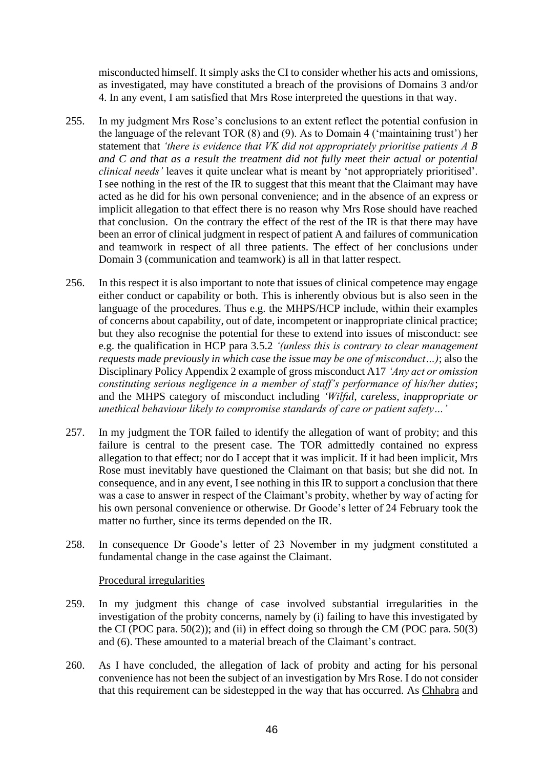misconducted himself. It simply asks the CI to consider whether his acts and omissions, as investigated, may have constituted a breach of the provisions of Domains 3 and/or 4. In any event, I am satisfied that Mrs Rose interpreted the questions in that way.

- 255. In my judgment Mrs Rose's conclusions to an extent reflect the potential confusion in the language of the relevant TOR (8) and (9). As to Domain 4 ('maintaining trust') her statement that *'there is evidence that VK did not appropriately prioritise patients A B and C and that as a result the treatment did not fully meet their actual or potential clinical needs'* leaves it quite unclear what is meant by 'not appropriately prioritised'. I see nothing in the rest of the IR to suggest that this meant that the Claimant may have acted as he did for his own personal convenience; and in the absence of an express or implicit allegation to that effect there is no reason why Mrs Rose should have reached that conclusion. On the contrary the effect of the rest of the IR is that there may have been an error of clinical judgment in respect of patient A and failures of communication and teamwork in respect of all three patients. The effect of her conclusions under Domain 3 (communication and teamwork) is all in that latter respect.
- 256. In this respect it is also important to note that issues of clinical competence may engage either conduct or capability or both. This is inherently obvious but is also seen in the language of the procedures. Thus e.g. the MHPS/HCP include, within their examples of concerns about capability, out of date, incompetent or inappropriate clinical practice; but they also recognise the potential for these to extend into issues of misconduct: see e.g. the qualification in HCP para 3.5.2 *'(unless this is contrary to clear management requests made previously in which case the issue may be one of misconduct…)*; also the Disciplinary Policy Appendix 2 example of gross misconduct A17 *'Any act or omission constituting serious negligence in a member of staff's performance of his/her duties*; and the MHPS category of misconduct including *'Wilful, careless, inappropriate or unethical behaviour likely to compromise standards of care or patient safety…'*
- 257. In my judgment the TOR failed to identify the allegation of want of probity; and this failure is central to the present case. The TOR admittedly contained no express allegation to that effect; nor do I accept that it was implicit. If it had been implicit, Mrs Rose must inevitably have questioned the Claimant on that basis; but she did not. In consequence, and in any event, I see nothing in this IR to support a conclusion that there was a case to answer in respect of the Claimant's probity, whether by way of acting for his own personal convenience or otherwise. Dr Goode's letter of 24 February took the matter no further, since its terms depended on the IR.
- 258. In consequence Dr Goode's letter of 23 November in my judgment constituted a fundamental change in the case against the Claimant.

#### Procedural irregularities

- 259. In my judgment this change of case involved substantial irregularities in the investigation of the probity concerns, namely by (i) failing to have this investigated by the CI (POC para.  $50(2)$ ); and (ii) in effect doing so through the CM (POC para.  $50(3)$ and (6). These amounted to a material breach of the Claimant's contract.
- 260. As I have concluded, the allegation of lack of probity and acting for his personal convenience has not been the subject of an investigation by Mrs Rose. I do not consider that this requirement can be sidestepped in the way that has occurred. As Chhabra and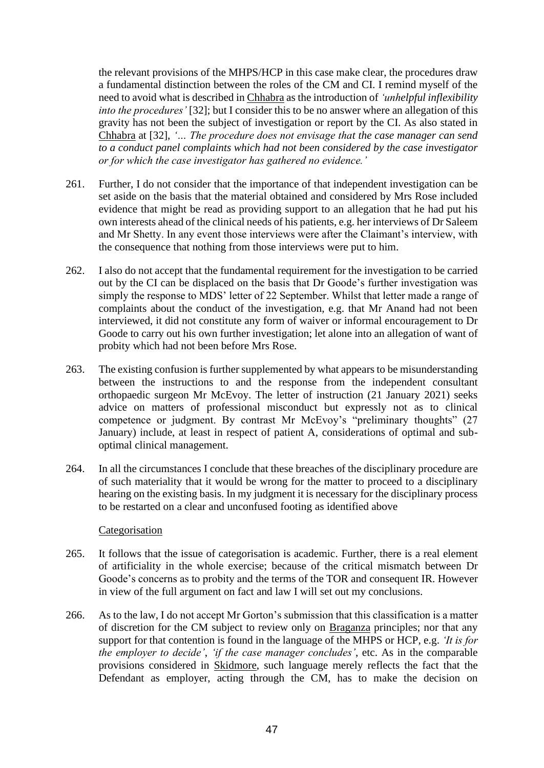the relevant provisions of the MHPS/HCP in this case make clear, the procedures draw a fundamental distinction between the roles of the CM and CI. I remind myself of the need to avoid what is described in Chhabra as the introduction of *'unhelpful inflexibility into the procedures'* [32]; but I consider this to be no answer where an allegation of this gravity has not been the subject of investigation or report by the CI. As also stated in Chhabra at [32], *'… The procedure does not envisage that the case manager can send to a conduct panel complaints which had not been considered by the case investigator or for which the case investigator has gathered no evidence.'*

- 261. Further, I do not consider that the importance of that independent investigation can be set aside on the basis that the material obtained and considered by Mrs Rose included evidence that might be read as providing support to an allegation that he had put his own interests ahead of the clinical needs of his patients, e.g. her interviews of Dr Saleem and Mr Shetty. In any event those interviews were after the Claimant's interview, with the consequence that nothing from those interviews were put to him.
- 262. I also do not accept that the fundamental requirement for the investigation to be carried out by the CI can be displaced on the basis that Dr Goode's further investigation was simply the response to MDS' letter of 22 September. Whilst that letter made a range of complaints about the conduct of the investigation, e.g. that Mr Anand had not been interviewed, it did not constitute any form of waiver or informal encouragement to Dr Goode to carry out his own further investigation; let alone into an allegation of want of probity which had not been before Mrs Rose.
- 263. The existing confusion is further supplemented by what appears to be misunderstanding between the instructions to and the response from the independent consultant orthopaedic surgeon Mr McEvoy. The letter of instruction (21 January 2021) seeks advice on matters of professional misconduct but expressly not as to clinical competence or judgment. By contrast Mr McEvoy's "preliminary thoughts" (27 January) include, at least in respect of patient A, considerations of optimal and suboptimal clinical management.
- 264. In all the circumstances I conclude that these breaches of the disciplinary procedure are of such materiality that it would be wrong for the matter to proceed to a disciplinary hearing on the existing basis. In my judgment it is necessary for the disciplinary process to be restarted on a clear and unconfused footing as identified above

#### Categorisation

- 265. It follows that the issue of categorisation is academic. Further, there is a real element of artificiality in the whole exercise; because of the critical mismatch between Dr Goode's concerns as to probity and the terms of the TOR and consequent IR. However in view of the full argument on fact and law I will set out my conclusions.
- 266. As to the law, I do not accept Mr Gorton's submission that this classification is a matter of discretion for the CM subject to review only on Braganza principles; nor that any support for that contention is found in the language of the MHPS or HCP, e.g. *'It is for the employer to decide'*, *'if the case manager concludes'*, etc. As in the comparable provisions considered in Skidmore, such language merely reflects the fact that the Defendant as employer, acting through the CM, has to make the decision on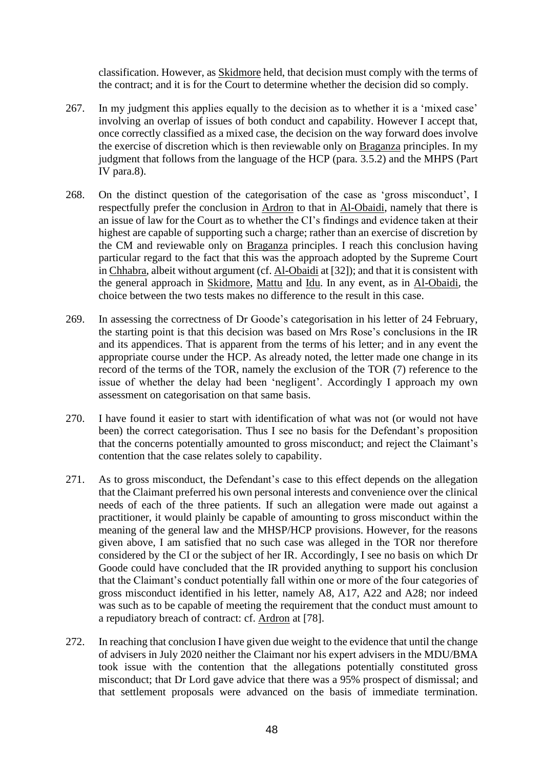classification. However, as Skidmore held, that decision must comply with the terms of the contract; and it is for the Court to determine whether the decision did so comply.

- 267. In my judgment this applies equally to the decision as to whether it is a 'mixed case' involving an overlap of issues of both conduct and capability. However I accept that, once correctly classified as a mixed case, the decision on the way forward does involve the exercise of discretion which is then reviewable only on Braganza principles. In my judgment that follows from the language of the HCP (para. 3.5.2) and the MHPS (Part IV para.8).
- 268. On the distinct question of the categorisation of the case as 'gross misconduct', I respectfully prefer the conclusion in Ardron to that in Al-Obaidi, namely that there is an issue of law for the Court as to whether the CI's findings and evidence taken at their highest are capable of supporting such a charge; rather than an exercise of discretion by the CM and reviewable only on Braganza principles. I reach this conclusion having particular regard to the fact that this was the approach adopted by the Supreme Court in Chhabra, albeit without argument (cf. Al-Obaidi at [32]); and that it is consistent with the general approach in Skidmore, Mattu and Idu. In any event, as in Al-Obaidi, the choice between the two tests makes no difference to the result in this case.
- 269. In assessing the correctness of Dr Goode's categorisation in his letter of 24 February, the starting point is that this decision was based on Mrs Rose's conclusions in the IR and its appendices. That is apparent from the terms of his letter; and in any event the appropriate course under the HCP. As already noted, the letter made one change in its record of the terms of the TOR, namely the exclusion of the TOR (7) reference to the issue of whether the delay had been 'negligent'. Accordingly I approach my own assessment on categorisation on that same basis.
- 270. I have found it easier to start with identification of what was not (or would not have been) the correct categorisation. Thus I see no basis for the Defendant's proposition that the concerns potentially amounted to gross misconduct; and reject the Claimant's contention that the case relates solely to capability.
- 271. As to gross misconduct, the Defendant's case to this effect depends on the allegation that the Claimant preferred his own personal interests and convenience over the clinical needs of each of the three patients. If such an allegation were made out against a practitioner, it would plainly be capable of amounting to gross misconduct within the meaning of the general law and the MHSP/HCP provisions. However, for the reasons given above, I am satisfied that no such case was alleged in the TOR nor therefore considered by the CI or the subject of her IR. Accordingly, I see no basis on which Dr Goode could have concluded that the IR provided anything to support his conclusion that the Claimant's conduct potentially fall within one or more of the four categories of gross misconduct identified in his letter, namely A8, A17, A22 and A28; nor indeed was such as to be capable of meeting the requirement that the conduct must amount to a repudiatory breach of contract: cf. Ardron at [78].
- 272. In reaching that conclusion I have given due weight to the evidence that until the change of advisers in July 2020 neither the Claimant nor his expert advisers in the MDU/BMA took issue with the contention that the allegations potentially constituted gross misconduct; that Dr Lord gave advice that there was a 95% prospect of dismissal; and that settlement proposals were advanced on the basis of immediate termination.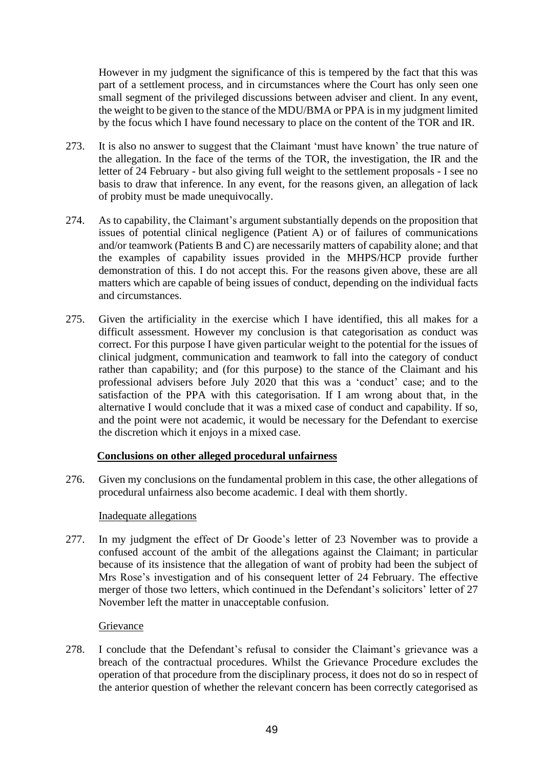However in my judgment the significance of this is tempered by the fact that this was part of a settlement process, and in circumstances where the Court has only seen one small segment of the privileged discussions between adviser and client. In any event, the weight to be given to the stance of the MDU/BMA or PPA is in my judgment limited by the focus which I have found necessary to place on the content of the TOR and IR.

- 273. It is also no answer to suggest that the Claimant 'must have known' the true nature of the allegation. In the face of the terms of the TOR, the investigation, the IR and the letter of 24 February - but also giving full weight to the settlement proposals - I see no basis to draw that inference. In any event, for the reasons given, an allegation of lack of probity must be made unequivocally.
- 274. As to capability, the Claimant's argument substantially depends on the proposition that issues of potential clinical negligence (Patient A) or of failures of communications and/or teamwork (Patients B and C) are necessarily matters of capability alone; and that the examples of capability issues provided in the MHPS/HCP provide further demonstration of this. I do not accept this. For the reasons given above, these are all matters which are capable of being issues of conduct, depending on the individual facts and circumstances.
- 275. Given the artificiality in the exercise which I have identified, this all makes for a difficult assessment. However my conclusion is that categorisation as conduct was correct. For this purpose I have given particular weight to the potential for the issues of clinical judgment, communication and teamwork to fall into the category of conduct rather than capability; and (for this purpose) to the stance of the Claimant and his professional advisers before July 2020 that this was a 'conduct' case; and to the satisfaction of the PPA with this categorisation. If I am wrong about that, in the alternative I would conclude that it was a mixed case of conduct and capability. If so, and the point were not academic, it would be necessary for the Defendant to exercise the discretion which it enjoys in a mixed case.

# **Conclusions on other alleged procedural unfairness**

276. Given my conclusions on the fundamental problem in this case, the other allegations of procedural unfairness also become academic. I deal with them shortly.

#### Inadequate allegations

277. In my judgment the effect of Dr Goode's letter of 23 November was to provide a confused account of the ambit of the allegations against the Claimant; in particular because of its insistence that the allegation of want of probity had been the subject of Mrs Rose's investigation and of his consequent letter of 24 February. The effective merger of those two letters, which continued in the Defendant's solicitors' letter of 27 November left the matter in unacceptable confusion.

# Grievance

278. I conclude that the Defendant's refusal to consider the Claimant's grievance was a breach of the contractual procedures. Whilst the Grievance Procedure excludes the operation of that procedure from the disciplinary process, it does not do so in respect of the anterior question of whether the relevant concern has been correctly categorised as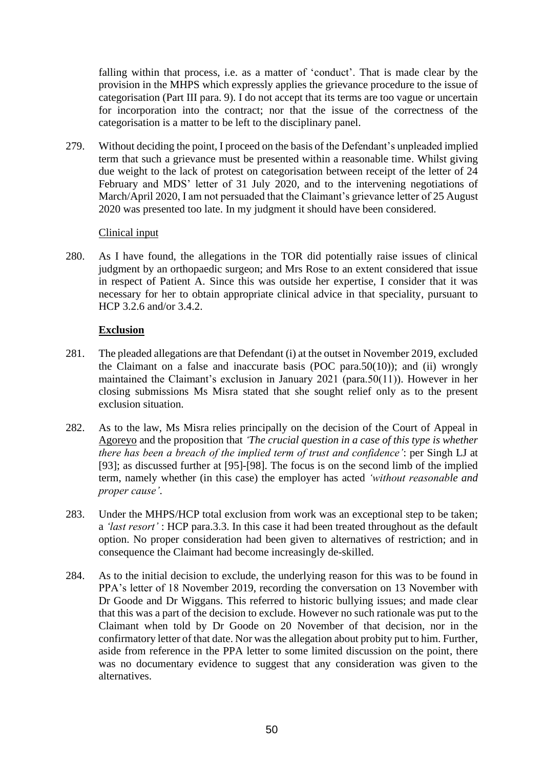falling within that process, i.e. as a matter of 'conduct'. That is made clear by the provision in the MHPS which expressly applies the grievance procedure to the issue of categorisation (Part III para. 9). I do not accept that its terms are too vague or uncertain for incorporation into the contract; nor that the issue of the correctness of the categorisation is a matter to be left to the disciplinary panel.

279. Without deciding the point, I proceed on the basis of the Defendant's unpleaded implied term that such a grievance must be presented within a reasonable time. Whilst giving due weight to the lack of protest on categorisation between receipt of the letter of 24 February and MDS' letter of 31 July 2020, and to the intervening negotiations of March/April 2020, I am not persuaded that the Claimant's grievance letter of 25 August 2020 was presented too late. In my judgment it should have been considered.

## Clinical input

280. As I have found, the allegations in the TOR did potentially raise issues of clinical judgment by an orthopaedic surgeon; and Mrs Rose to an extent considered that issue in respect of Patient A. Since this was outside her expertise, I consider that it was necessary for her to obtain appropriate clinical advice in that speciality, pursuant to HCP 3.2.6 and/or 3.4.2.

# **Exclusion**

- 281. The pleaded allegations are that Defendant (i) at the outset in November 2019, excluded the Claimant on a false and inaccurate basis (POC para.50(10)); and (ii) wrongly maintained the Claimant's exclusion in January 2021 (para.50(11)). However in her closing submissions Ms Misra stated that she sought relief only as to the present exclusion situation.
- 282. As to the law, Ms Misra relies principally on the decision of the Court of Appeal in Agoreyo and the proposition that *'The crucial question in a case of this type is whether there has been a breach of the implied term of trust and confidence'*: per Singh LJ at [93]; as discussed further at [95]-[98]. The focus is on the second limb of the implied term, namely whether (in this case) the employer has acted *'without reasonable and proper cause'*.
- 283. Under the MHPS/HCP total exclusion from work was an exceptional step to be taken; a *'last resort'* : HCP para.3.3. In this case it had been treated throughout as the default option. No proper consideration had been given to alternatives of restriction; and in consequence the Claimant had become increasingly de-skilled.
- 284. As to the initial decision to exclude, the underlying reason for this was to be found in PPA's letter of 18 November 2019, recording the conversation on 13 November with Dr Goode and Dr Wiggans. This referred to historic bullying issues; and made clear that this was a part of the decision to exclude. However no such rationale was put to the Claimant when told by Dr Goode on 20 November of that decision, nor in the confirmatory letter of that date. Nor was the allegation about probity put to him. Further, aside from reference in the PPA letter to some limited discussion on the point, there was no documentary evidence to suggest that any consideration was given to the alternatives.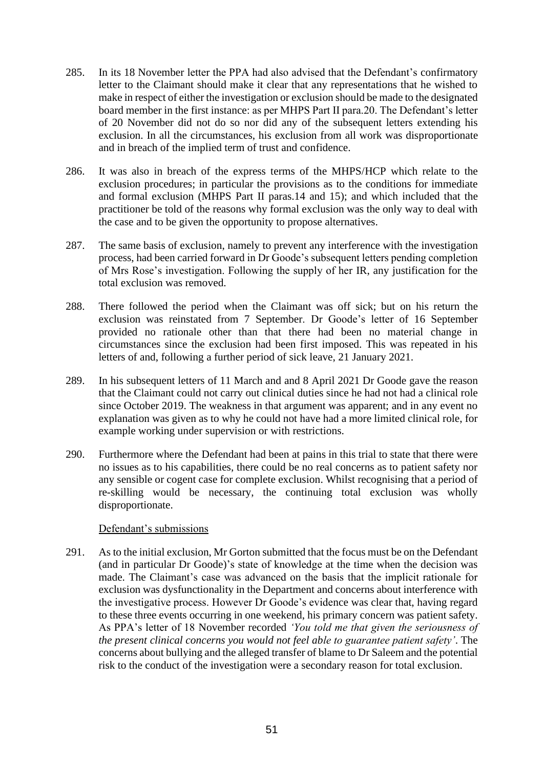- 285. In its 18 November letter the PPA had also advised that the Defendant's confirmatory letter to the Claimant should make it clear that any representations that he wished to make in respect of either the investigation or exclusion should be made to the designated board member in the first instance: as per MHPS Part II para.20. The Defendant's letter of 20 November did not do so nor did any of the subsequent letters extending his exclusion. In all the circumstances, his exclusion from all work was disproportionate and in breach of the implied term of trust and confidence.
- 286. It was also in breach of the express terms of the MHPS/HCP which relate to the exclusion procedures; in particular the provisions as to the conditions for immediate and formal exclusion (MHPS Part II paras.14 and 15); and which included that the practitioner be told of the reasons why formal exclusion was the only way to deal with the case and to be given the opportunity to propose alternatives.
- 287. The same basis of exclusion, namely to prevent any interference with the investigation process, had been carried forward in Dr Goode's subsequent letters pending completion of Mrs Rose's investigation. Following the supply of her IR, any justification for the total exclusion was removed.
- 288. There followed the period when the Claimant was off sick; but on his return the exclusion was reinstated from 7 September. Dr Goode's letter of 16 September provided no rationale other than that there had been no material change in circumstances since the exclusion had been first imposed. This was repeated in his letters of and, following a further period of sick leave, 21 January 2021.
- 289. In his subsequent letters of 11 March and and 8 April 2021 Dr Goode gave the reason that the Claimant could not carry out clinical duties since he had not had a clinical role since October 2019. The weakness in that argument was apparent; and in any event no explanation was given as to why he could not have had a more limited clinical role, for example working under supervision or with restrictions.
- 290. Furthermore where the Defendant had been at pains in this trial to state that there were no issues as to his capabilities, there could be no real concerns as to patient safety nor any sensible or cogent case for complete exclusion. Whilst recognising that a period of re-skilling would be necessary, the continuing total exclusion was wholly disproportionate.

#### Defendant's submissions

291. As to the initial exclusion, Mr Gorton submitted that the focus must be on the Defendant (and in particular Dr Goode)'s state of knowledge at the time when the decision was made. The Claimant's case was advanced on the basis that the implicit rationale for exclusion was dysfunctionality in the Department and concerns about interference with the investigative process. However Dr Goode's evidence was clear that, having regard to these three events occurring in one weekend, his primary concern was patient safety. As PPA's letter of 18 November recorded *'You told me that given the seriousness of the present clinical concerns you would not feel able to guarantee patient safety'*. The concerns about bullying and the alleged transfer of blame to Dr Saleem and the potential risk to the conduct of the investigation were a secondary reason for total exclusion.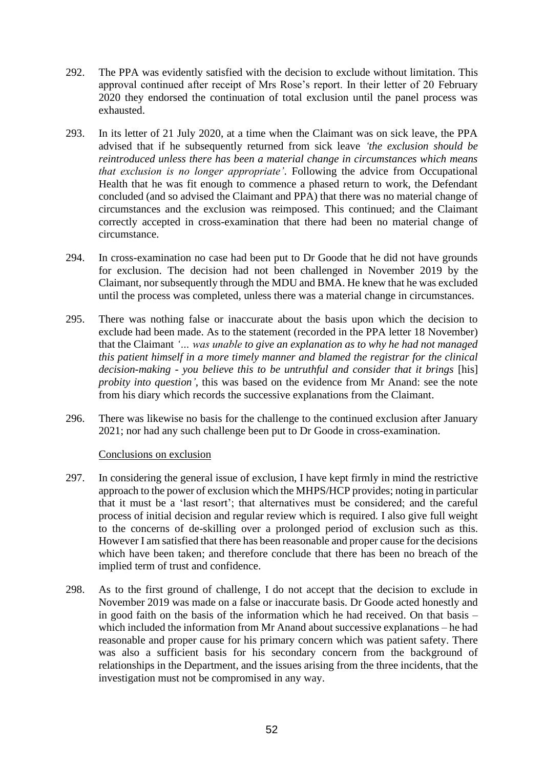- 292. The PPA was evidently satisfied with the decision to exclude without limitation. This approval continued after receipt of Mrs Rose's report. In their letter of 20 February 2020 they endorsed the continuation of total exclusion until the panel process was exhausted.
- 293. In its letter of 21 July 2020, at a time when the Claimant was on sick leave, the PPA advised that if he subsequently returned from sick leave *'the exclusion should be reintroduced unless there has been a material change in circumstances which means that exclusion is no longer appropriate'*. Following the advice from Occupational Health that he was fit enough to commence a phased return to work, the Defendant concluded (and so advised the Claimant and PPA) that there was no material change of circumstances and the exclusion was reimposed. This continued; and the Claimant correctly accepted in cross-examination that there had been no material change of circumstance.
- 294. In cross-examination no case had been put to Dr Goode that he did not have grounds for exclusion. The decision had not been challenged in November 2019 by the Claimant, nor subsequently through the MDU and BMA. He knew that he was excluded until the process was completed, unless there was a material change in circumstances.
- 295. There was nothing false or inaccurate about the basis upon which the decision to exclude had been made. As to the statement (recorded in the PPA letter 18 November) that the Claimant *'… was unable to give an explanation as to why he had not managed this patient himself in a more timely manner and blamed the registrar for the clinical decision-making - you believe this to be untruthful and consider that it brings* [his] *probity into question'*, this was based on the evidence from Mr Anand: see the note from his diary which records the successive explanations from the Claimant.
- 296. There was likewise no basis for the challenge to the continued exclusion after January 2021; nor had any such challenge been put to Dr Goode in cross-examination.

#### Conclusions on exclusion

- 297. In considering the general issue of exclusion, I have kept firmly in mind the restrictive approach to the power of exclusion which the MHPS/HCP provides; noting in particular that it must be a 'last resort'; that alternatives must be considered; and the careful process of initial decision and regular review which is required. I also give full weight to the concerns of de-skilling over a prolonged period of exclusion such as this. However I am satisfied that there has been reasonable and proper cause for the decisions which have been taken; and therefore conclude that there has been no breach of the implied term of trust and confidence.
- 298. As to the first ground of challenge, I do not accept that the decision to exclude in November 2019 was made on a false or inaccurate basis. Dr Goode acted honestly and in good faith on the basis of the information which he had received. On that basis – which included the information from Mr Anand about successive explanations – he had reasonable and proper cause for his primary concern which was patient safety. There was also a sufficient basis for his secondary concern from the background of relationships in the Department, and the issues arising from the three incidents, that the investigation must not be compromised in any way.